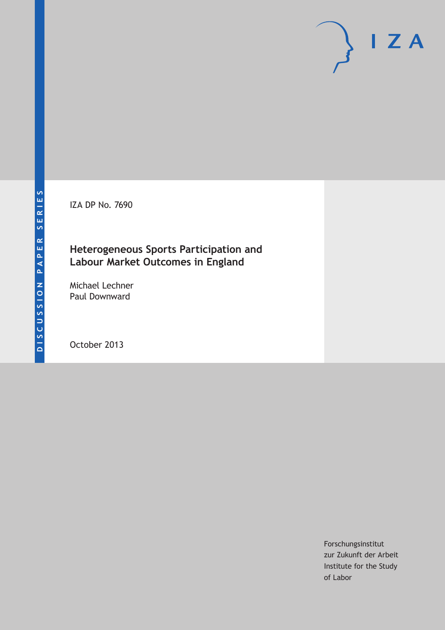IZA DP No. 7690

# **Heterogeneous Sports Participation and Labour Market Outcomes in England**

Michael Lechner Paul Downward

October 2013

Forschungsinstitut zur Zukunft der Arbeit Institute for the Study of Labor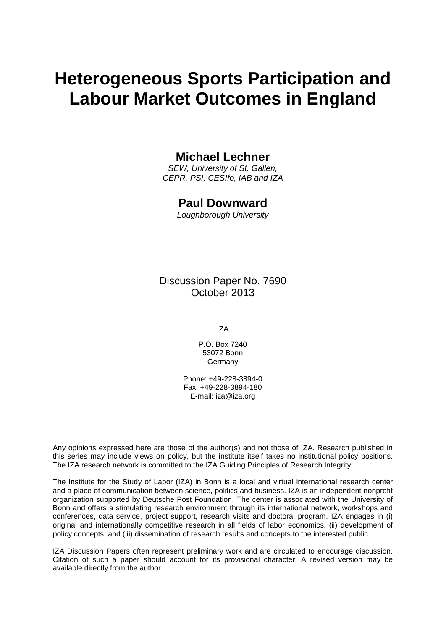# **Heterogeneous Sports Participation and Labour Market Outcomes in England**

# **Michael Lechner**

*SEW, University of St. Gallen, CEPR, PSI, CESIfo, IAB and IZA*

# **Paul Downward**

*Loughborough University*

Discussion Paper No. 7690 October 2013

IZA

P.O. Box 7240 53072 Bonn Germany

Phone: +49-228-3894-0 Fax: +49-228-3894-180 E-mail: [iza@iza.org](mailto:iza@iza.org)

Any opinions expressed here are those of the author(s) and not those of IZA. Research published in this series may include views on policy, but the institute itself takes no institutional policy positions. The IZA research network is committed to the IZA Guiding Principles of Research Integrity.

The Institute for the Study of Labor (IZA) in Bonn is a local and virtual international research center and a place of communication between science, politics and business. IZA is an independent nonprofit organization supported by Deutsche Post Foundation. The center is associated with the University of Bonn and offers a stimulating research environment through its international network, workshops and conferences, data service, project support, research visits and doctoral program. IZA engages in (i) original and internationally competitive research in all fields of labor economics, (ii) development of policy concepts, and (iii) dissemination of research results and concepts to the interested public.

<span id="page-1-0"></span>IZA Discussion Papers often represent preliminary work and are circulated to encourage discussion. Citation of such a paper should account for its provisional character. A revised version may be available directly from the author.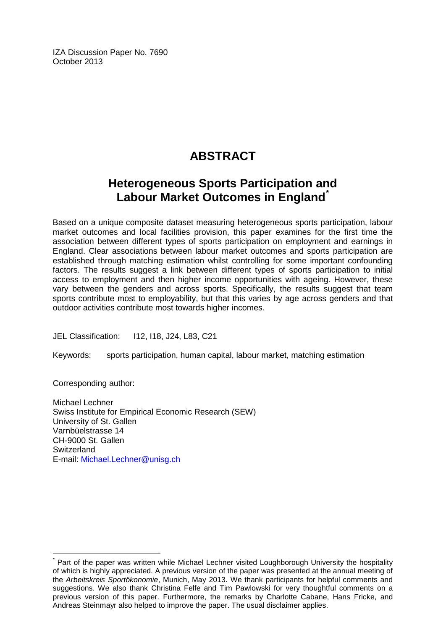IZA Discussion Paper No. 7690 October 2013

# **ABSTRACT**

# **Heterogeneous Sports Participation and Labour Market Outcomes in England[\\*](#page-1-0)**

Based on a unique composite dataset measuring heterogeneous sports participation, labour market outcomes and local facilities provision, this paper examines for the first time the association between different types of sports participation on employment and earnings in England. Clear associations between labour market outcomes and sports participation are established through matching estimation whilst controlling for some important confounding factors. The results suggest a link between different types of sports participation to initial access to employment and then higher income opportunities with ageing. However, these vary between the genders and across sports. Specifically, the results suggest that team sports contribute most to employability, but that this varies by age across genders and that outdoor activities contribute most towards higher incomes.

JEL Classification: I12, I18, J24, L83, C21

Keywords: sports participation, human capital, labour market, matching estimation

Corresponding author:

Michael Lechner Swiss Institute for Empirical Economic Research (SEW) University of St. Gallen Varnbüelstrasse 14 CH-9000 St. Gallen **Switzerland** E-mail: [Michael.Lechner@unisg.ch](mailto:Michael.Lechner@unisg.ch)

Part of the paper was written while Michael Lechner visited Loughborough University the hospitality of which is highly appreciated. A previous version of the paper was presented at the annual meeting of the *Arbeitskreis Sportökonomie*, Munich, May 2013. We thank participants for helpful comments and suggestions. We also thank Christina Felfe and Tim Pawlowski for very thoughtful comments on a previous version of this paper. Furthermore, the remarks by Charlotte Cabane, Hans Fricke, and Andreas Steinmayr also helped to improve the paper. The usual disclaimer applies.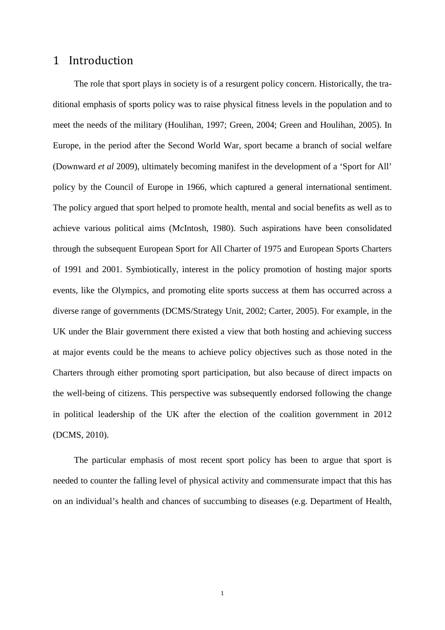# 1 Introduction

The role that sport plays in society is of a resurgent policy concern. Historically, the traditional emphasis of sports policy was to raise physical fitness levels in the population and to meet the needs of the military (Houlihan, 1997; Green, 2004; Green and Houlihan, 2005). In Europe, in the period after the Second World War, sport became a branch of social welfare (Downward *et al* 2009), ultimately becoming manifest in the development of a 'Sport for All' policy by the Council of Europe in 1966, which captured a general international sentiment. The policy argued that sport helped to promote health, mental and social benefits as well as to achieve various political aims (McIntosh, 1980). Such aspirations have been consolidated through the subsequent European Sport for All Charter of 1975 and European Sports Charters of 1991 and 2001. Symbiotically, interest in the policy promotion of hosting major sports events, like the Olympics, and promoting elite sports success at them has occurred across a diverse range of governments (DCMS/Strategy Unit, 2002; Carter, 2005). For example, in the UK under the Blair government there existed a view that both hosting and achieving success at major events could be the means to achieve policy objectives such as those noted in the Charters through either promoting sport participation, but also because of direct impacts on the well-being of citizens. This perspective was subsequently endorsed following the change in political leadership of the UK after the election of the coalition government in 2012 (DCMS, 2010).

The particular emphasis of most recent sport policy has been to argue that sport is needed to counter the falling level of physical activity and commensurate impact that this has on an individual's health and chances of succumbing to diseases (e.g. Department of Health,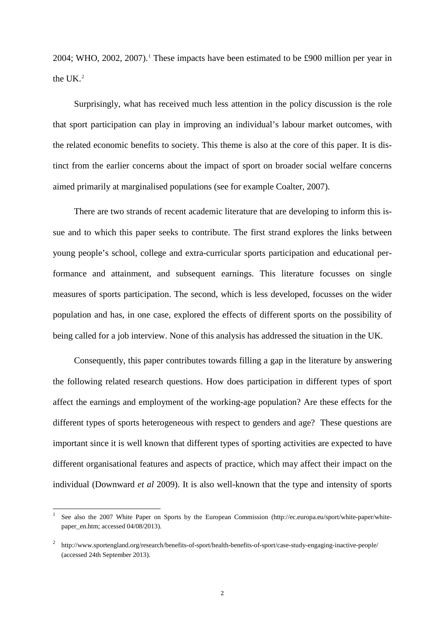2004; WHO, 2002, 2007).<sup>[1](#page-4-0)</sup> These impacts have been estimated to be £900 million per year in the UK.<sup>[2](#page-4-1)</sup>

Surprisingly, what has received much less attention in the policy discussion is the role that sport participation can play in improving an individual's labour market outcomes, with the related economic benefits to society. This theme is also at the core of this paper. It is distinct from the earlier concerns about the impact of sport on broader social welfare concerns aimed primarily at marginalised populations (see for example Coalter, 2007).

There are two strands of recent academic literature that are developing to inform this issue and to which this paper seeks to contribute. The first strand explores the links between young people's school, college and extra-curricular sports participation and educational performance and attainment, and subsequent earnings. This literature focusses on single measures of sports participation. The second, which is less developed, focusses on the wider population and has, in one case, explored the effects of different sports on the possibility of being called for a job interview. None of this analysis has addressed the situation in the UK.

Consequently, this paper contributes towards filling a gap in the literature by answering the following related research questions. How does participation in different types of sport affect the earnings and employment of the working-age population? Are these effects for the different types of sports heterogeneous with respect to genders and age? These questions are important since it is well known that different types of sporting activities are expected to have different organisational features and aspects of practice, which may affect their impact on the individual (Downward *et al* 2009). It is also well-known that the type and intensity of sports

<span id="page-4-0"></span>See also the 2007 White Paper on Sports by the European Commission (http://ec.europa.eu/sport/white-paper/whitepaper\_en.htm; accessed 04/08/2013).

<span id="page-4-1"></span><sup>&</sup>lt;sup>2</sup> http://www.sportengland.org/research/benefits-of-sport/health-benefits-of-sport/case-study-engaging-inactive-people/ (accessed 24th September 2013).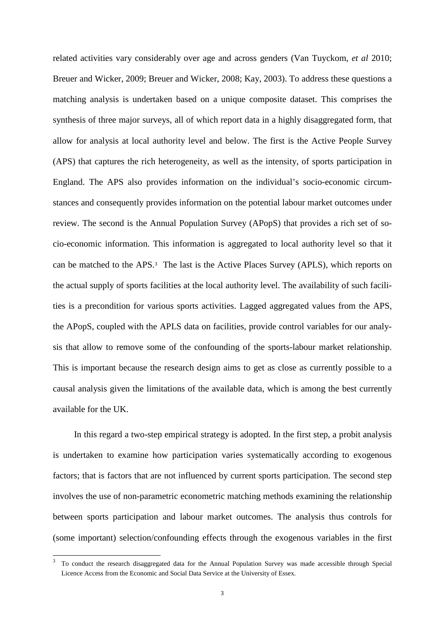related activities vary considerably over age and across genders (Van Tuyckom, *et al* 2010; Breuer and Wicker, 2009; Breuer and Wicker, 2008; Kay, 2003). To address these questions a matching analysis is undertaken based on a unique composite dataset. This comprises the synthesis of three major surveys, all of which report data in a highly disaggregated form, that allow for analysis at local authority level and below. The first is the Active People Survey (APS) that captures the rich heterogeneity, as well as the intensity, of sports participation in England. The APS also provides information on the individual's socio-economic circumstances and consequently provides information on the potential labour market outcomes under review. The second is the Annual Population Survey (APopS) that provides a rich set of socio-economic information. This information is aggregated to local authority level so that it can be matched to the APS.[3](#page-5-0) The last is the Active Places Survey (APLS), which reports on the actual supply of sports facilities at the local authority level. The availability of such facilities is a precondition for various sports activities. Lagged aggregated values from the APS, the APopS, coupled with the APLS data on facilities, provide control variables for our analysis that allow to remove some of the confounding of the sports-labour market relationship. This is important because the research design aims to get as close as currently possible to a causal analysis given the limitations of the available data, which is among the best currently available for the UK.

In this regard a two-step empirical strategy is adopted. In the first step, a probit analysis is undertaken to examine how participation varies systematically according to exogenous factors; that is factors that are not influenced by current sports participation. The second step involves the use of non-parametric econometric matching methods examining the relationship between sports participation and labour market outcomes. The analysis thus controls for (some important) selection/confounding effects through the exogenous variables in the first

<span id="page-5-0"></span><sup>3</sup> To conduct the research disaggregated data for the Annual Population Survey was made accessible through Special Licence Access from the Economic and Social Data Service at the University of Essex.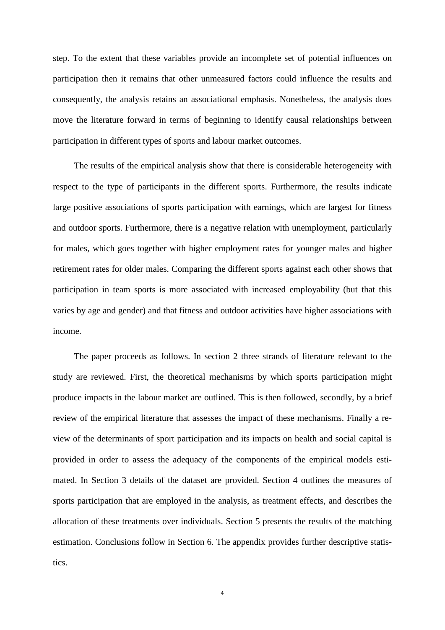step. To the extent that these variables provide an incomplete set of potential influences on participation then it remains that other unmeasured factors could influence the results and consequently, the analysis retains an associational emphasis. Nonetheless, the analysis does move the literature forward in terms of beginning to identify causal relationships between participation in different types of sports and labour market outcomes.

The results of the empirical analysis show that there is considerable heterogeneity with respect to the type of participants in the different sports. Furthermore, the results indicate large positive associations of sports participation with earnings, which are largest for fitness and outdoor sports. Furthermore, there is a negative relation with unemployment, particularly for males, which goes together with higher employment rates for younger males and higher retirement rates for older males. Comparing the different sports against each other shows that participation in team sports is more associated with increased employability (but that this varies by age and gender) and that fitness and outdoor activities have higher associations with income.

The paper proceeds as follows. In section 2 three strands of literature relevant to the study are reviewed. First, the theoretical mechanisms by which sports participation might produce impacts in the labour market are outlined. This is then followed, secondly, by a brief review of the empirical literature that assesses the impact of these mechanisms. Finally a review of the determinants of sport participation and its impacts on health and social capital is provided in order to assess the adequacy of the components of the empirical models estimated. In Section 3 details of the dataset are provided. Section 4 outlines the measures of sports participation that are employed in the analysis, as treatment effects, and describes the allocation of these treatments over individuals. Section 5 presents the results of the matching estimation. Conclusions follow in Section 6. The appendix provides further descriptive statistics.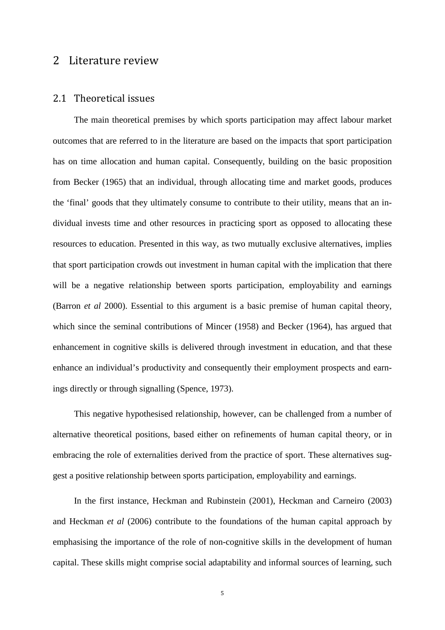### 2 Literature review

#### 2.1 Theoretical issues

The main theoretical premises by which sports participation may affect labour market outcomes that are referred to in the literature are based on the impacts that sport participation has on time allocation and human capital. Consequently, building on the basic proposition from Becker (1965) that an individual, through allocating time and market goods, produces the 'final' goods that they ultimately consume to contribute to their utility, means that an individual invests time and other resources in practicing sport as opposed to allocating these resources to education. Presented in this way, as two mutually exclusive alternatives, implies that sport participation crowds out investment in human capital with the implication that there will be a negative relationship between sports participation, employability and earnings (Barron *et al* 2000). Essential to this argument is a basic premise of human capital theory, which since the seminal contributions of Mincer (1958) and Becker (1964), has argued that enhancement in cognitive skills is delivered through investment in education, and that these enhance an individual's productivity and consequently their employment prospects and earnings directly or through signalling (Spence, 1973).

This negative hypothesised relationship, however, can be challenged from a number of alternative theoretical positions, based either on refinements of human capital theory, or in embracing the role of externalities derived from the practice of sport. These alternatives suggest a positive relationship between sports participation, employability and earnings.

In the first instance, Heckman and Rubinstein (2001), Heckman and Carneiro (2003) and Heckman *et al* (2006) contribute to the foundations of the human capital approach by emphasising the importance of the role of non-cognitive skills in the development of human capital. These skills might comprise social adaptability and informal sources of learning, such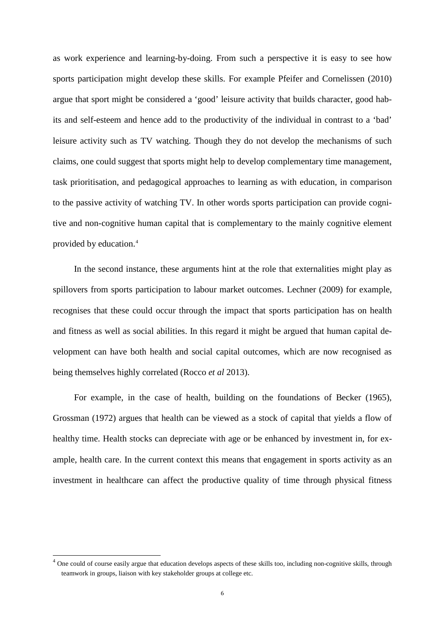as work experience and learning-by-doing. From such a perspective it is easy to see how sports participation might develop these skills. For example Pfeifer and Cornelissen (2010) argue that sport might be considered a 'good' leisure activity that builds character, good habits and self-esteem and hence add to the productivity of the individual in contrast to a 'bad' leisure activity such as TV watching. Though they do not develop the mechanisms of such claims, one could suggest that sports might help to develop complementary time management, task prioritisation, and pedagogical approaches to learning as with education, in comparison to the passive activity of watching TV. In other words sports participation can provide cognitive and non-cognitive human capital that is complementary to the mainly cognitive element provided by education.<sup>[4](#page-8-0)</sup>

In the second instance, these arguments hint at the role that externalities might play as spillovers from sports participation to labour market outcomes. Lechner (2009) for example, recognises that these could occur through the impact that sports participation has on health and fitness as well as social abilities. In this regard it might be argued that human capital development can have both health and social capital outcomes, which are now recognised as being themselves highly correlated (Rocco *et al* 2013).

For example, in the case of health, building on the foundations of Becker (1965), Grossman (1972) argues that health can be viewed as a stock of capital that yields a flow of healthy time. Health stocks can depreciate with age or be enhanced by investment in, for example, health care. In the current context this means that engagement in sports activity as an investment in healthcare can affect the productive quality of time through physical fitness

<span id="page-8-0"></span><sup>&</sup>lt;sup>4</sup> One could of course easily argue that education develops aspects of these skills too, including non-cognitive skills, through teamwork in groups, liaison with key stakeholder groups at college etc.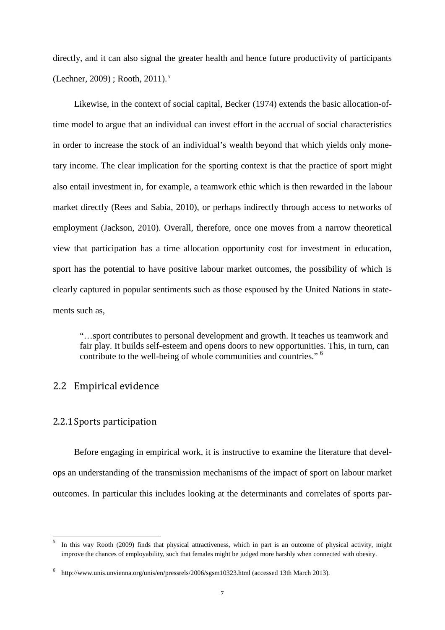directly, and it can also signal the greater health and hence future productivity of participants (Lechner, 2009) ; Rooth, 2011). [5](#page-9-0)

Likewise, in the context of social capital, Becker (1974) extends the basic allocation-oftime model to argue that an individual can invest effort in the accrual of social characteristics in order to increase the stock of an individual's wealth beyond that which yields only monetary income. The clear implication for the sporting context is that the practice of sport might also entail investment in, for example, a teamwork ethic which is then rewarded in the labour market directly (Rees and Sabia, 2010), or perhaps indirectly through access to networks of employment (Jackson, 2010). Overall, therefore, once one moves from a narrow theoretical view that participation has a time allocation opportunity cost for investment in education, sport has the potential to have positive labour market outcomes, the possibility of which is clearly captured in popular sentiments such as those espoused by the United Nations in statements such as,

"…sport contributes to personal development and growth. It teaches us teamwork and fair play. It builds self-esteem and opens doors to new opportunities. This, in turn, can contribute to the well-being of whole communities and countries."<sup>[6](#page-9-1)</sup>

### 2.2 Empirical evidence

#### 2.2.1Sports participation

Before engaging in empirical work, it is instructive to examine the literature that develops an understanding of the transmission mechanisms of the impact of sport on labour market outcomes. In particular this includes looking at the determinants and correlates of sports par-

<span id="page-9-0"></span><sup>5</sup> In this way Rooth (2009) finds that physical attractiveness, which in part is an outcome of physical activity, might improve the chances of employability, such that females might be judged more harshly when connected with obesity.

<span id="page-9-1"></span><sup>6</sup> http://www.unis.unvienna.org/unis/en/pressrels/2006/sgsm10323.html (accessed 13th March 2013).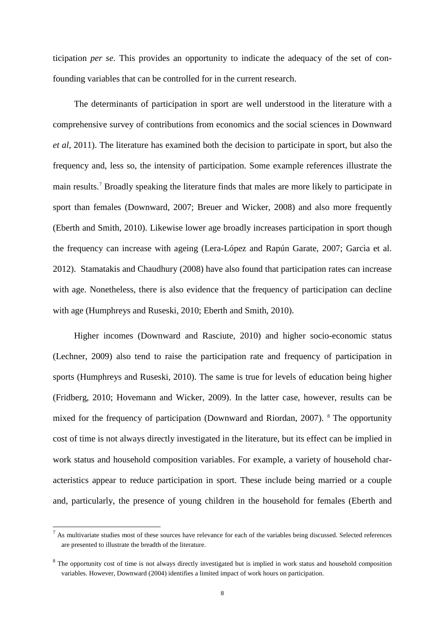ticipation *per se*. This provides an opportunity to indicate the adequacy of the set of confounding variables that can be controlled for in the current research.

The determinants of participation in sport are well understood in the literature with a comprehensive survey of contributions from economics and the social sciences in Downward *et al*, 2011). The literature has examined both the decision to participate in sport, but also the frequency and, less so, the intensity of participation. Some example references illustrate the main results.[7](#page-10-0) Broadly speaking the literature finds that males are more likely to participate in sport than females (Downward, 2007; Breuer and Wicker, 2008) and also more frequently (Eberth and Smith, 2010). Likewise lower age broadly increases participation in sport though the frequency can increase with ageing (Lera-López and Rapún Garate, 2007; Garcìa et al. 2012). Stamatakis and Chaudhury (2008) have also found that participation rates can increase with age. Nonetheless, there is also evidence that the frequency of participation can decline with age (Humphreys and Ruseski, 2010; Eberth and Smith, 2010).

Higher incomes (Downward and Rasciute, 2010) and higher socio-economic status (Lechner, 2009) also tend to raise the participation rate and frequency of participation in sports (Humphreys and Ruseski, 2010). The same is true for levels of education being higher (Fridberg, 2010; Hovemann and Wicker, 2009). In the latter case, however, results can be mixed for the frequency of participation (Downward and Riordan, 2007). [8](#page-10-1) The opportunity cost of time is not always directly investigated in the literature, but its effect can be implied in work status and household composition variables. For example, a variety of household characteristics appear to reduce participation in sport. These include being married or a couple and, particularly, the presence of young children in the household for females (Eberth and

<span id="page-10-0"></span> $<sup>7</sup>$  As multivariate studies most of these sources have relevance for each of the variables being discussed. Selected references</sup> are presented to illustrate the breadth of the literature.

<span id="page-10-1"></span><sup>&</sup>lt;sup>8</sup> The opportunity cost of time is not always directly investigated but is implied in work status and household composition variables. However, Downward (2004) identifies a limited impact of work hours on participation.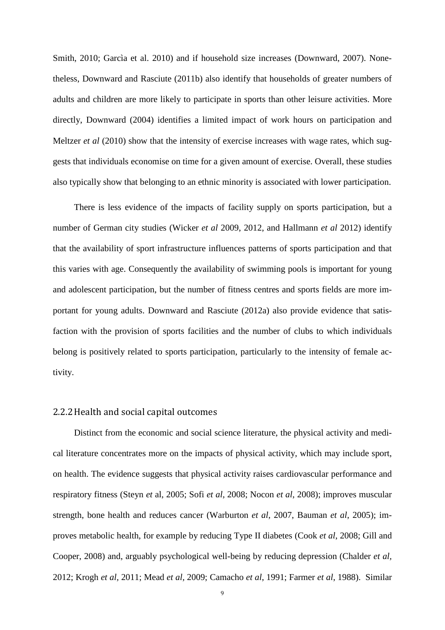Smith, 2010; Garcìa et al. 2010) and if household size increases (Downward, 2007). Nonetheless, Downward and Rasciute (2011b) also identify that households of greater numbers of adults and children are more likely to participate in sports than other leisure activities. More directly, Downward (2004) identifies a limited impact of work hours on participation and Meltzer *et al* (2010) show that the intensity of exercise increases with wage rates, which suggests that individuals economise on time for a given amount of exercise. Overall, these studies also typically show that belonging to an ethnic minority is associated with lower participation.

There is less evidence of the impacts of facility supply on sports participation, but a number of German city studies (Wicker *et al* 2009, 2012, and Hallmann *et al* 2012) identify that the availability of sport infrastructure influences patterns of sports participation and that this varies with age. Consequently the availability of swimming pools is important for young and adolescent participation, but the number of fitness centres and sports fields are more important for young adults. Downward and Rasciute (2012a) also provide evidence that satisfaction with the provision of sports facilities and the number of clubs to which individuals belong is positively related to sports participation, particularly to the intensity of female activity.

#### 2.2.2Health and social capital outcomes

Distinct from the economic and social science literature, the physical activity and medical literature concentrates more on the impacts of physical activity, which may include sport, on health. The evidence suggests that physical activity raises cardiovascular performance and respiratory fitness (Steyn *et* al, 2005; Sofi *et al*, 2008; Nocon *et al*, 2008); improves muscular strength, bone health and reduces cancer (Warburton *et al*, 2007, Bauman *et al*, 2005); improves metabolic health, for example by reducing Type II diabetes (Cook *et al*, 2008; Gill and Cooper, 2008) and, arguably psychological well-being by reducing depression (Chalder *et al,*  2012; Krogh *et al,* 2011; Mead *et al,* 2009; Camacho *et al*, 1991; Farmer *et al*, 1988). Similar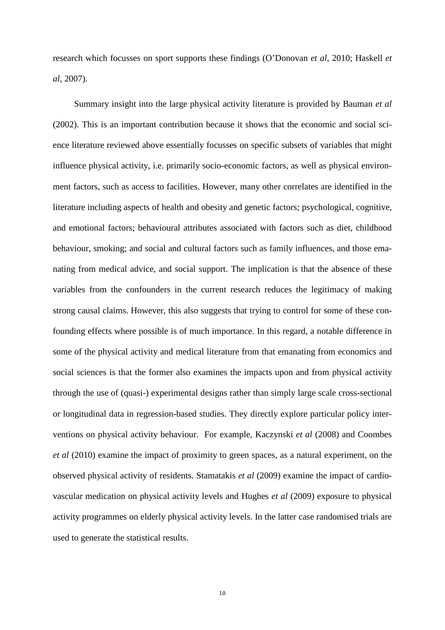research which focusses on sport supports these findings (O'Donovan *et al*, 2010; Haskell *et al*, 2007).

Summary insight into the large physical activity literature is provided by Bauman *et al*  (2002). This is an important contribution because it shows that the economic and social science literature reviewed above essentially focusses on specific subsets of variables that might influence physical activity, i.e. primarily socio-economic factors, as well as physical environment factors, such as access to facilities. However, many other correlates are identified in the literature including aspects of health and obesity and genetic factors; psychological, cognitive, and emotional factors; behavioural attributes associated with factors such as diet, childhood behaviour, smoking; and social and cultural factors such as family influences, and those emanating from medical advice, and social support. The implication is that the absence of these variables from the confounders in the current research reduces the legitimacy of making strong causal claims. However, this also suggests that trying to control for some of these confounding effects where possible is of much importance. In this regard, a notable difference in some of the physical activity and medical literature from that emanating from economics and social sciences is that the former also examines the impacts upon and from physical activity through the use of (quasi-) experimental designs rather than simply large scale cross-sectional or longitudinal data in regression-based studies. They directly explore particular policy interventions on physical activity behaviour. For example, Kaczynski *et al* (2008) and Coombes *et al* (2010) examine the impact of proximity to green spaces, as a natural experiment, on the observed physical activity of residents. Stamatakis *et al* (2009) examine the impact of cardiovascular medication on physical activity levels and Hughes *et al* (2009) exposure to physical activity programmes on elderly physical activity levels. In the latter case randomised trials are used to generate the statistical results.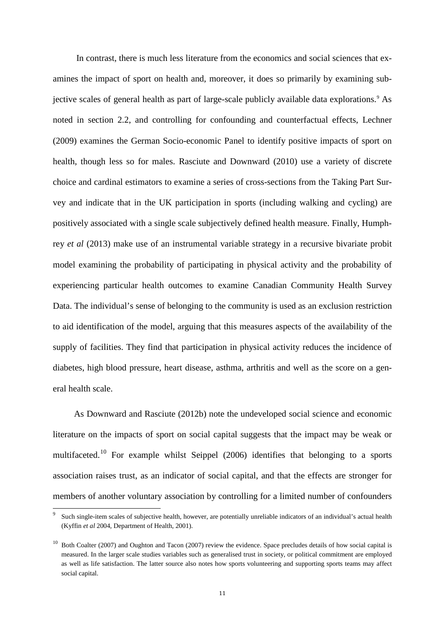In contrast, there is much less literature from the economics and social sciences that examines the impact of sport on health and, moreover, it does so primarily by examining sub-jective scales of general health as part of large-scale publicly available data explorations.<sup>[9](#page-13-0)</sup> As noted in section 2.2, and controlling for confounding and counterfactual effects, Lechner (2009) examines the German Socio-economic Panel to identify positive impacts of sport on health, though less so for males. Rasciute and Downward (2010) use a variety of discrete choice and cardinal estimators to examine a series of cross-sections from the Taking Part Survey and indicate that in the UK participation in sports (including walking and cycling) are positively associated with a single scale subjectively defined health measure. Finally, Humphrey *et al* (2013) make use of an instrumental variable strategy in a recursive bivariate probit model examining the probability of participating in physical activity and the probability of experiencing particular health outcomes to examine Canadian Community Health Survey Data. The individual's sense of belonging to the community is used as an exclusion restriction to aid identification of the model, arguing that this measures aspects of the availability of the supply of facilities. They find that participation in physical activity reduces the incidence of diabetes, high blood pressure, heart disease, asthma, arthritis and well as the score on a general health scale.

As Downward and Rasciute (2012b) note the undeveloped social science and economic literature on the impacts of sport on social capital suggests that the impact may be weak or multifaceted.<sup>[10](#page-13-1)</sup> For example whilst Seippel (2006) identifies that belonging to a sports association raises trust, as an indicator of social capital, and that the effects are stronger for members of another voluntary association by controlling for a limited number of confounders

<span id="page-13-0"></span>Such single-item scales of subjective health, however, are potentially unreliable indicators of an individual's actual health (Kyffin *et al* 2004, Department of Health, 2001).

<span id="page-13-1"></span> $10$  Both Coalter (2007) and Oughton and Tacon (2007) review the evidence. Space precludes details of how social capital is measured. In the larger scale studies variables such as generalised trust in society, or political commitment are employed as well as life satisfaction. The latter source also notes how sports volunteering and supporting sports teams may affect social capital.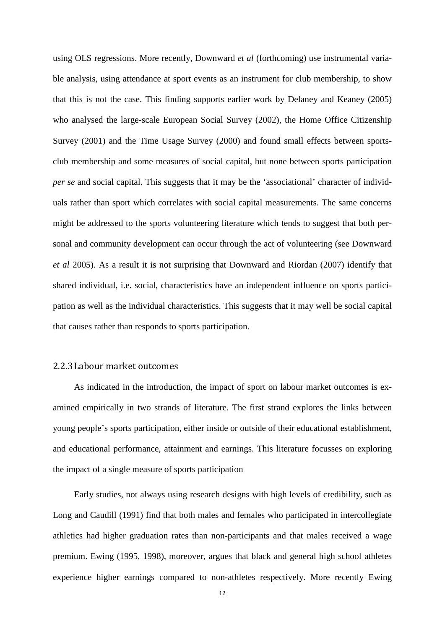using OLS regressions. More recently, Downward *et al* (forthcoming) use instrumental variable analysis, using attendance at sport events as an instrument for club membership, to show that this is not the case. This finding supports earlier work by Delaney and Keaney (2005) who analysed the large-scale European Social Survey (2002), the Home Office Citizenship Survey (2001) and the Time Usage Survey (2000) and found small effects between sportsclub membership and some measures of social capital, but none between sports participation *per se* and social capital. This suggests that it may be the 'associational' character of individuals rather than sport which correlates with social capital measurements. The same concerns might be addressed to the sports volunteering literature which tends to suggest that both personal and community development can occur through the act of volunteering (see Downward *et al* 2005). As a result it is not surprising that Downward and Riordan (2007) identify that shared individual, i.e. social, characteristics have an independent influence on sports participation as well as the individual characteristics. This suggests that it may well be social capital that causes rather than responds to sports participation.

#### 2.2.3Labour market outcomes

As indicated in the introduction, the impact of sport on labour market outcomes is examined empirically in two strands of literature. The first strand explores the links between young people's sports participation, either inside or outside of their educational establishment, and educational performance, attainment and earnings. This literature focusses on exploring the impact of a single measure of sports participation

Early studies, not always using research designs with high levels of credibility, such as Long and Caudill (1991) find that both males and females who participated in intercollegiate athletics had higher graduation rates than non-participants and that males received a wage premium. Ewing (1995, 1998), moreover, argues that black and general high school athletes experience higher earnings compared to non-athletes respectively. More recently Ewing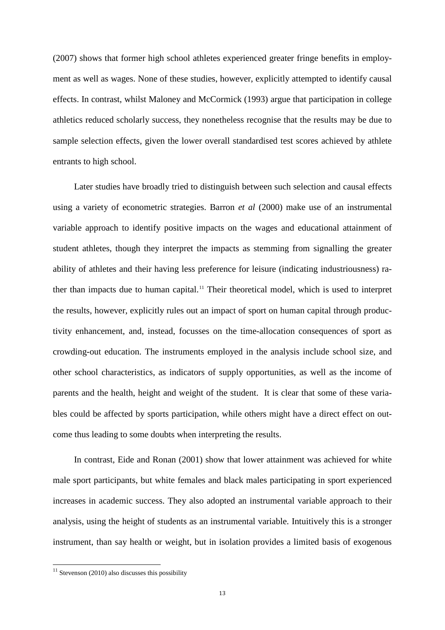(2007) shows that former high school athletes experienced greater fringe benefits in employment as well as wages. None of these studies, however, explicitly attempted to identify causal effects. In contrast, whilst Maloney and McCormick (1993) argue that participation in college athletics reduced scholarly success, they nonetheless recognise that the results may be due to sample selection effects, given the lower overall standardised test scores achieved by athlete entrants to high school.

Later studies have broadly tried to distinguish between such selection and causal effects using a variety of econometric strategies. Barron *et al* (2000) make use of an instrumental variable approach to identify positive impacts on the wages and educational attainment of student athletes, though they interpret the impacts as stemming from signalling the greater ability of athletes and their having less preference for leisure (indicating industriousness) ra-ther than impacts due to human capital.<sup>[11](#page-15-0)</sup> Their theoretical model, which is used to interpret the results, however, explicitly rules out an impact of sport on human capital through productivity enhancement, and, instead, focusses on the time-allocation consequences of sport as crowding-out education. The instruments employed in the analysis include school size, and other school characteristics, as indicators of supply opportunities, as well as the income of parents and the health, height and weight of the student. It is clear that some of these variables could be affected by sports participation, while others might have a direct effect on outcome thus leading to some doubts when interpreting the results.

In contrast, Eide and Ronan (2001) show that lower attainment was achieved for white male sport participants, but white females and black males participating in sport experienced increases in academic success. They also adopted an instrumental variable approach to their analysis, using the height of students as an instrumental variable. Intuitively this is a stronger instrument, than say health or weight, but in isolation provides a limited basis of exogenous

<span id="page-15-0"></span> $11$  Stevenson (2010) also discusses this possibility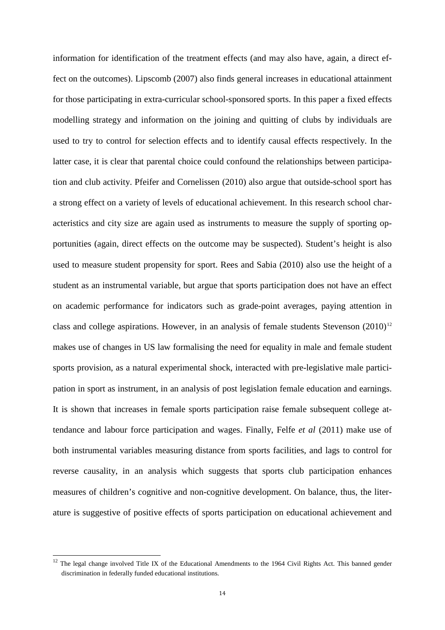information for identification of the treatment effects (and may also have, again, a direct effect on the outcomes). Lipscomb (2007) also finds general increases in educational attainment for those participating in extra-curricular school-sponsored sports. In this paper a fixed effects modelling strategy and information on the joining and quitting of clubs by individuals are used to try to control for selection effects and to identify causal effects respectively. In the latter case, it is clear that parental choice could confound the relationships between participation and club activity. Pfeifer and Cornelissen (2010) also argue that outside-school sport has a strong effect on a variety of levels of educational achievement. In this research school characteristics and city size are again used as instruments to measure the supply of sporting opportunities (again, direct effects on the outcome may be suspected). Student's height is also used to measure student propensity for sport. Rees and Sabia (2010) also use the height of a student as an instrumental variable, but argue that sports participation does not have an effect on academic performance for indicators such as grade-point averages, paying attention in class and college aspirations. However, in an analysis of female students Stevenson  $(2010)^{12}$  $(2010)^{12}$  $(2010)^{12}$ makes use of changes in US law formalising the need for equality in male and female student sports provision, as a natural experimental shock, interacted with pre-legislative male participation in sport as instrument, in an analysis of post legislation female education and earnings. It is shown that increases in female sports participation raise female subsequent college attendance and labour force participation and wages. Finally, Felfe *et al* (2011) make use of both instrumental variables measuring distance from sports facilities, and lags to control for reverse causality, in an analysis which suggests that sports club participation enhances measures of children's cognitive and non-cognitive development. On balance, thus, the literature is suggestive of positive effects of sports participation on educational achievement and

<span id="page-16-0"></span><sup>&</sup>lt;sup>12</sup> The legal change involved Title IX of the Educational Amendments to the 1964 Civil Rights Act. This banned gender discrimination in federally funded educational institutions.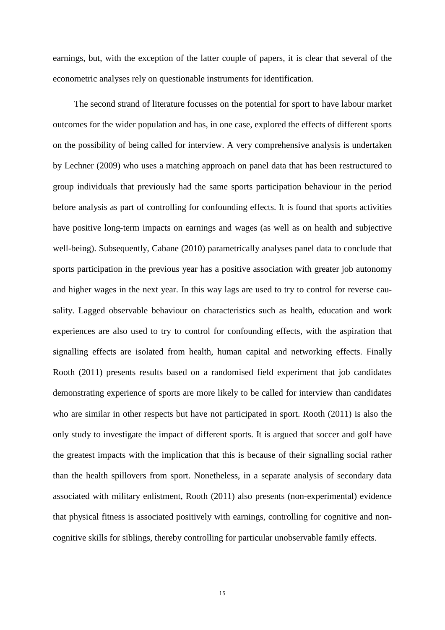earnings, but, with the exception of the latter couple of papers, it is clear that several of the econometric analyses rely on questionable instruments for identification.

The second strand of literature focusses on the potential for sport to have labour market outcomes for the wider population and has, in one case, explored the effects of different sports on the possibility of being called for interview. A very comprehensive analysis is undertaken by Lechner (2009) who uses a matching approach on panel data that has been restructured to group individuals that previously had the same sports participation behaviour in the period before analysis as part of controlling for confounding effects. It is found that sports activities have positive long-term impacts on earnings and wages (as well as on health and subjective well-being). Subsequently, Cabane (2010) parametrically analyses panel data to conclude that sports participation in the previous year has a positive association with greater job autonomy and higher wages in the next year. In this way lags are used to try to control for reverse causality. Lagged observable behaviour on characteristics such as health, education and work experiences are also used to try to control for confounding effects, with the aspiration that signalling effects are isolated from health, human capital and networking effects. Finally Rooth (2011) presents results based on a randomised field experiment that job candidates demonstrating experience of sports are more likely to be called for interview than candidates who are similar in other respects but have not participated in sport. Rooth (2011) is also the only study to investigate the impact of different sports. It is argued that soccer and golf have the greatest impacts with the implication that this is because of their signalling social rather than the health spillovers from sport. Nonetheless, in a separate analysis of secondary data associated with military enlistment, Rooth (2011) also presents (non-experimental) evidence that physical fitness is associated positively with earnings, controlling for cognitive and noncognitive skills for siblings, thereby controlling for particular unobservable family effects.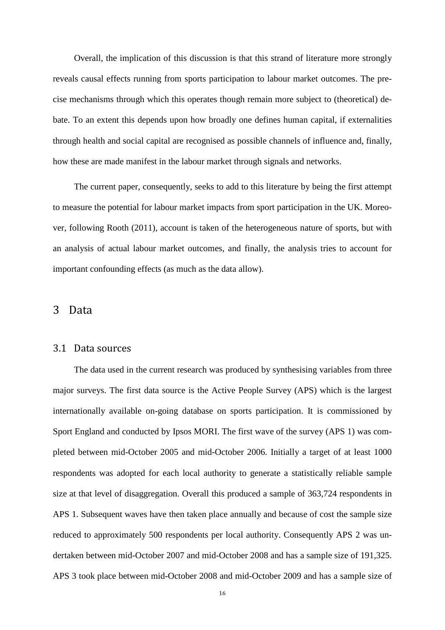Overall, the implication of this discussion is that this strand of literature more strongly reveals causal effects running from sports participation to labour market outcomes. The precise mechanisms through which this operates though remain more subject to (theoretical) debate. To an extent this depends upon how broadly one defines human capital, if externalities through health and social capital are recognised as possible channels of influence and, finally, how these are made manifest in the labour market through signals and networks.

The current paper, consequently, seeks to add to this literature by being the first attempt to measure the potential for labour market impacts from sport participation in the UK. Moreover, following Rooth (2011), account is taken of the heterogeneous nature of sports, but with an analysis of actual labour market outcomes, and finally, the analysis tries to account for important confounding effects (as much as the data allow).

#### 3 Data

#### 3.1 Data sources

The data used in the current research was produced by synthesising variables from three major surveys. The first data source is the Active People Survey (APS) which is the largest internationally available on-going database on sports participation. It is commissioned by Sport England and conducted by Ipsos MORI. The first wave of the survey (APS 1) was completed between mid-October 2005 and mid-October 2006. Initially a target of at least 1000 respondents was adopted for each local authority to generate a statistically reliable sample size at that level of disaggregation. Overall this produced a sample of 363,724 respondents in APS 1. Subsequent waves have then taken place annually and because of cost the sample size reduced to approximately 500 respondents per local authority. Consequently APS 2 was undertaken between mid-October 2007 and mid-October 2008 and has a sample size of 191,325. APS 3 took place between mid-October 2008 and mid-October 2009 and has a sample size of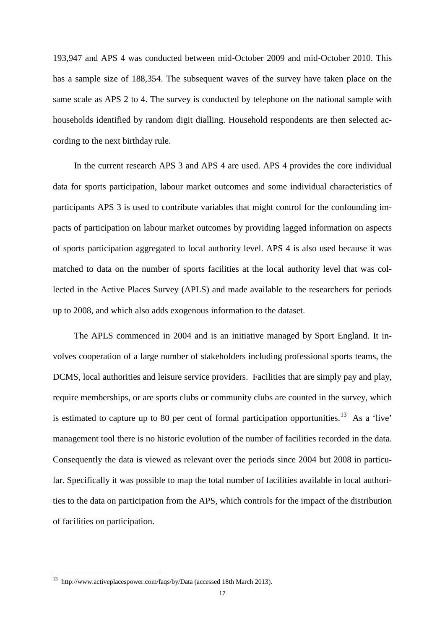193,947 and APS 4 was conducted between mid-October 2009 and mid-October 2010. This has a sample size of 188,354. The subsequent waves of the survey have taken place on the same scale as APS 2 to 4. The survey is conducted by telephone on the national sample with households identified by random digit dialling. Household respondents are then selected according to the next birthday rule.

In the current research APS 3 and APS 4 are used. APS 4 provides the core individual data for sports participation, labour market outcomes and some individual characteristics of participants APS 3 is used to contribute variables that might control for the confounding impacts of participation on labour market outcomes by providing lagged information on aspects of sports participation aggregated to local authority level. APS 4 is also used because it was matched to data on the number of sports facilities at the local authority level that was collected in the Active Places Survey (APLS) and made available to the researchers for periods up to 2008, and which also adds exogenous information to the dataset.

The APLS commenced in 2004 and is an initiative managed by Sport England. It involves cooperation of a large number of stakeholders including professional sports teams, the DCMS, local authorities and leisure service providers. Facilities that are simply pay and play, require memberships, or are sports clubs or community clubs are counted in the survey, which is estimated to capture up to 80 per cent of formal participation opportunities.<sup>13</sup> As a 'live' management tool there is no historic evolution of the number of facilities recorded in the data. Consequently the data is viewed as relevant over the periods since 2004 but 2008 in particular. Specifically it was possible to map the total number of facilities available in local authorities to the data on participation from the APS, which controls for the impact of the distribution of facilities on participation.

<span id="page-19-0"></span><sup>13</sup> http://www.activeplacespower.com/faqs/by/Data (accessed 18th March 2013).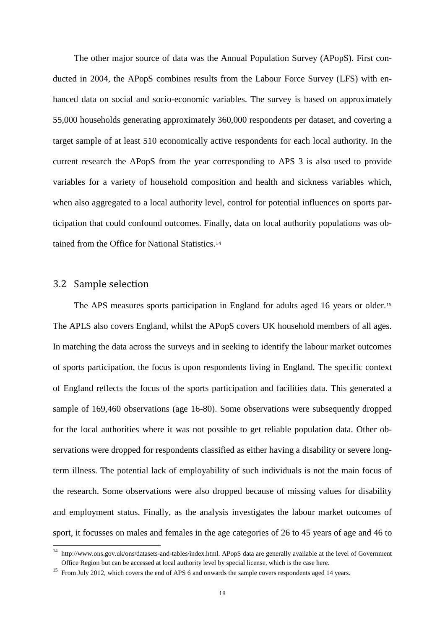The other major source of data was the Annual Population Survey (APopS). First conducted in 2004, the APopS combines results from the Labour Force Survey (LFS) with enhanced data on social and socio-economic variables. The survey is based on approximately 55,000 households generating approximately 360,000 respondents per dataset, and covering a target sample of at least 510 economically active respondents for each local authority. In the current research the APopS from the year corresponding to APS 3 is also used to provide variables for a variety of household composition and health and sickness variables which, when also aggregated to a local authority level, control for potential influences on sports participation that could confound outcomes. Finally, data on local authority populations was obtained from the Office for National Statistics.[14](#page-20-0)

#### 3.2 Sample selection

The APS measures sports participation in England for adults aged 16 years or older.[15](#page-20-1) The APLS also covers England, whilst the APopS covers UK household members of all ages. In matching the data across the surveys and in seeking to identify the labour market outcomes of sports participation, the focus is upon respondents living in England. The specific context of England reflects the focus of the sports participation and facilities data. This generated a sample of 169,460 observations (age 16-80). Some observations were subsequently dropped for the local authorities where it was not possible to get reliable population data. Other observations were dropped for respondents classified as either having a disability or severe longterm illness. The potential lack of employability of such individuals is not the main focus of the research. Some observations were also dropped because of missing values for disability and employment status. Finally, as the analysis investigates the labour market outcomes of sport, it focusses on males and females in the age categories of 26 to 45 years of age and 46 to

<span id="page-20-0"></span><sup>14</sup> http://www.ons.gov.uk/ons/datasets-and-tables/index.html. APopS data are generally available at the level of Government Office Region but can be accessed at local authority level by special license, which is the case here.

<span id="page-20-1"></span><sup>&</sup>lt;sup>15</sup> From July 2012, which covers the end of APS 6 and onwards the sample covers respondents aged 14 years.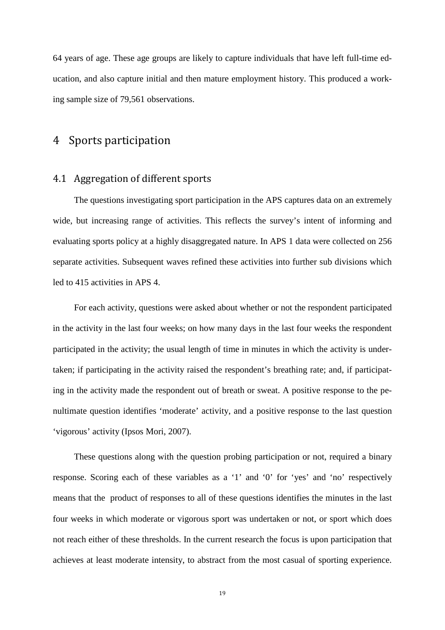64 years of age. These age groups are likely to capture individuals that have left full-time education, and also capture initial and then mature employment history. This produced a working sample size of 79,561 observations.

# 4 Sports participation

#### 4.1 Aggregation of different sports

The questions investigating sport participation in the APS captures data on an extremely wide, but increasing range of activities. This reflects the survey's intent of informing and evaluating sports policy at a highly disaggregated nature. In APS 1 data were collected on 256 separate activities. Subsequent waves refined these activities into further sub divisions which led to 415 activities in APS 4.

For each activity, questions were asked about whether or not the respondent participated in the activity in the last four weeks; on how many days in the last four weeks the respondent participated in the activity; the usual length of time in minutes in which the activity is undertaken; if participating in the activity raised the respondent's breathing rate; and, if participating in the activity made the respondent out of breath or sweat. A positive response to the penultimate question identifies 'moderate' activity, and a positive response to the last question 'vigorous' activity (Ipsos Mori, 2007).

These questions along with the question probing participation or not, required a binary response. Scoring each of these variables as a '1' and '0' for 'yes' and 'no' respectively means that the product of responses to all of these questions identifies the minutes in the last four weeks in which moderate or vigorous sport was undertaken or not, or sport which does not reach either of these thresholds. In the current research the focus is upon participation that achieves at least moderate intensity, to abstract from the most casual of sporting experience.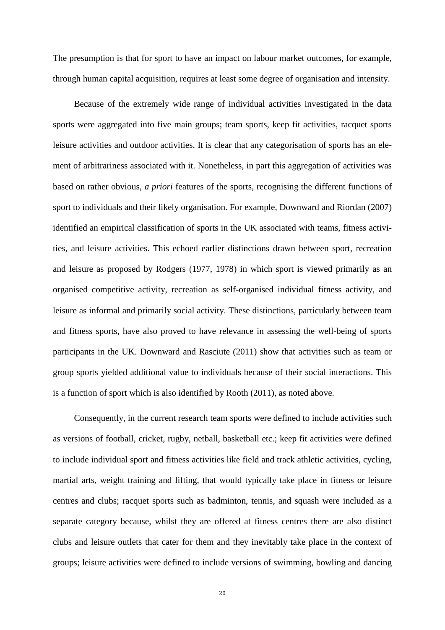The presumption is that for sport to have an impact on labour market outcomes, for example, through human capital acquisition, requires at least some degree of organisation and intensity.

Because of the extremely wide range of individual activities investigated in the data sports were aggregated into five main groups; team sports, keep fit activities, racquet sports leisure activities and outdoor activities. It is clear that any categorisation of sports has an element of arbitrariness associated with it. Nonetheless, in part this aggregation of activities was based on rather obvious, *a priori* features of the sports, recognising the different functions of sport to individuals and their likely organisation. For example, Downward and Riordan (2007) identified an empirical classification of sports in the UK associated with teams, fitness activities, and leisure activities. This echoed earlier distinctions drawn between sport, recreation and leisure as proposed by Rodgers (1977, 1978) in which sport is viewed primarily as an organised competitive activity, recreation as self-organised individual fitness activity, and leisure as informal and primarily social activity. These distinctions, particularly between team and fitness sports, have also proved to have relevance in assessing the well-being of sports participants in the UK. Downward and Rasciute (2011) show that activities such as team or group sports yielded additional value to individuals because of their social interactions. This is a function of sport which is also identified by Rooth (2011), as noted above.

Consequently, in the current research team sports were defined to include activities such as versions of football, cricket, rugby, netball, basketball etc.; keep fit activities were defined to include individual sport and fitness activities like field and track athletic activities, cycling, martial arts, weight training and lifting, that would typically take place in fitness or leisure centres and clubs; racquet sports such as badminton, tennis, and squash were included as a separate category because, whilst they are offered at fitness centres there are also distinct clubs and leisure outlets that cater for them and they inevitably take place in the context of groups; leisure activities were defined to include versions of swimming, bowling and dancing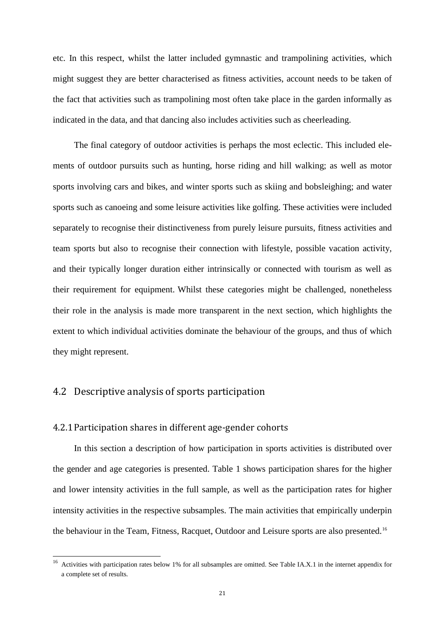etc. In this respect, whilst the latter included gymnastic and trampolining activities, which might suggest they are better characterised as fitness activities, account needs to be taken of the fact that activities such as trampolining most often take place in the garden informally as indicated in the data, and that dancing also includes activities such as cheerleading.

The final category of outdoor activities is perhaps the most eclectic. This included elements of outdoor pursuits such as hunting, horse riding and hill walking; as well as motor sports involving cars and bikes, and winter sports such as skiing and bobsleighing; and water sports such as canoeing and some leisure activities like golfing. These activities were included separately to recognise their distinctiveness from purely leisure pursuits, fitness activities and team sports but also to recognise their connection with lifestyle, possible vacation activity, and their typically longer duration either intrinsically or connected with tourism as well as their requirement for equipment. Whilst these categories might be challenged, nonetheless their role in the analysis is made more transparent in the next section, which highlights the extent to which individual activities dominate the behaviour of the groups, and thus of which they might represent.

### 4.2 Descriptive analysis of sports participation

#### 4.2.1Participation shares in different age-gender cohorts

In this section a description of how participation in sports activities is distributed over the gender and age categories is presented. Table 1 shows participation shares for the higher and lower intensity activities in the full sample, as well as the participation rates for higher intensity activities in the respective subsamples. The main activities that empirically underpin the behaviour in the Team, Fitness, Racquet, Outdoor and Leisure sports are also presented.<sup>[16](#page-23-0)</sup>

<span id="page-23-0"></span><sup>&</sup>lt;sup>16</sup> Activities with participation rates below 1% for all subsamples are omitted. See Table IA.X.1 in the internet appendix for a complete set of results.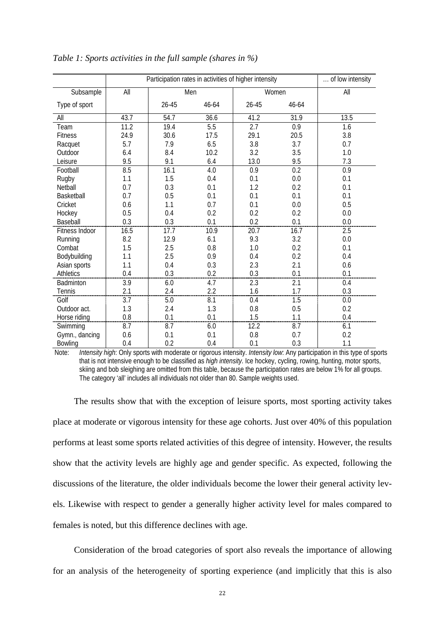|                  | Participation rates in activities of higher intensity |           |       |                  |                  | of low intensity |
|------------------|-------------------------------------------------------|-----------|-------|------------------|------------------|------------------|
| Subsample        | All                                                   | Men       |       | Women            |                  | All              |
| Type of sport    |                                                       | $26 - 45$ | 46-64 | $26 - 45$        | $46 - 64$        |                  |
| All              | 43.7                                                  | 54.7      | 36.6  | 41.2             | 31.9             | 13.5             |
| Team             | 11.2                                                  | 19.4      | 5.5   | 2.7              | 0.9              | 1.6              |
| <b>Fitness</b>   | 24.9                                                  | 30.6      | 17.5  | 29.1             | 20.5             | 3.8              |
| Racquet          | 5.7                                                   | 7.9       | 6.5   | 3.8              | 3.7              | 0.7              |
| Outdoor          | 6.4                                                   | 8.4       | 10.2  | 3.2              | 3.5              | 1.0              |
| Leisure          | 9.5                                                   | 9.1       | 6.4   | 13.0             | 9.5              | 7.3              |
| Football         | 8.5                                                   | 16.1      | 4.0   | 0.9              | $\overline{0.2}$ | $\overline{0.9}$ |
| Rugby            | 1.1                                                   | 1.5       | 0.4   | 0.1              | 0.0              | 0.1              |
| Netball          | 0.7                                                   | 0.3       | 0.1   | 1.2              | 0.2              | 0.1              |
| Basketball       | 0.7                                                   | 0.5       | 0.1   | 0.1              | 0.1              | 0.1              |
| Cricket          | 0.6                                                   | 1.1       | 0.7   | 0.1              | 0.0              | 0.5              |
| Hockey           | 0.5                                                   | 0.4       | 0.2   | 0.2              | 0.2              | 0.0              |
| Baseball         | 0.3                                                   | 0.3       | 0.1   | 0.2              | 0.1              | 0.0              |
| Fitness Indoor   | $16.\overline{5}$                                     | 17.7      | 10.9  | 20.7             | 16.7             | 2.5              |
| Running          | 8.2                                                   | 12.9      | 6.1   | 9.3              | 3.2              | 0.0              |
| Combat           | 1.5                                                   | 2.5       | 0.8   | 1.0              | 0.2              | 0.1              |
| Bodybuilding     | 1.1                                                   | 2.5       | 0.9   | 0.4              | 0.2              | 0.4              |
| Asian sports     | 1.1                                                   | 0.4       | 0.3   | 2.3              | 2.1              | 0.6              |
| <b>Athletics</b> | 0.4                                                   | 0.3       | 0.2   | 0.3              | 0.1              | 0.1              |
| Badminton        | 3.9                                                   | 6.0       | 4.7   | $\overline{2.3}$ | 2.1              | 0.4              |
| Tennis           | 2.1                                                   | 2.4       | 2.2   | 1.6              | 1.7              | 0.3              |
| Golf             | 3.7                                                   | 5.0       | 8.1   | 0.4              | 1.5              | 0.0              |
| Outdoor act.     | 1.3                                                   | 2.4       | 1.3   | 0.8              | 0.5              | 0.2              |
| Horse riding     | 0.8                                                   | 0.1       | 0.1   | 1.5              | 1.1              | 0.4              |
| Swimming         | 8.7                                                   | 8.7       | 6.0   | 12.2             | 8.7              | 6.1              |
| Gymn., dancing   | 0.6                                                   | 0.1       | 0.1   | 0.8              | 0.7              | 0.2              |
| <b>Bowling</b>   | 0.4                                                   | 0.2       | 0.4   | 0.1              | 0.3              | 1.1              |

*Table 1: Sports activities in the full sample (shares in %)* 

Note: *Intensity high*: Only sports with moderate or rigorous intensity. *Intensity low*: Any participation in this type of sports that is not intensive enough to be classified as *high intensity*. Ice hockey, cycling, rowing, hunting, motor sports, skiing and bob sleighing are omitted from this table, because the participation rates are below 1% for all groups. The category 'all' includes all individuals not older than 80. Sample weights used.

The results show that with the exception of leisure sports, most sporting activity takes place at moderate or vigorous intensity for these age cohorts. Just over 40% of this population performs at least some sports related activities of this degree of intensity. However, the results show that the activity levels are highly age and gender specific. As expected, following the discussions of the literature, the older individuals become the lower their general activity levels. Likewise with respect to gender a generally higher activity level for males compared to females is noted, but this difference declines with age.

Consideration of the broad categories of sport also reveals the importance of allowing for an analysis of the heterogeneity of sporting experience (and implicitly that this is also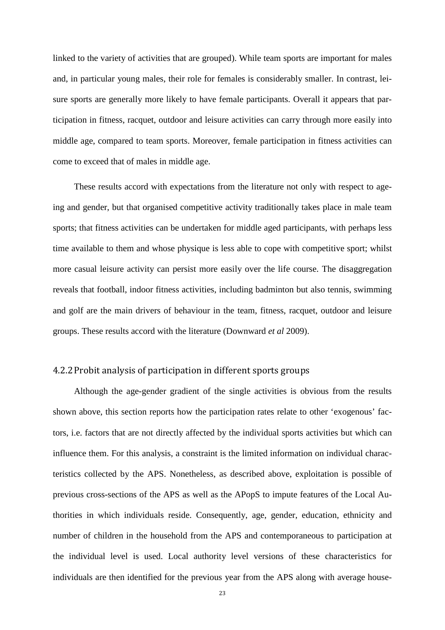linked to the variety of activities that are grouped). While team sports are important for males and, in particular young males, their role for females is considerably smaller. In contrast, leisure sports are generally more likely to have female participants. Overall it appears that participation in fitness, racquet, outdoor and leisure activities can carry through more easily into middle age, compared to team sports. Moreover, female participation in fitness activities can come to exceed that of males in middle age.

These results accord with expectations from the literature not only with respect to ageing and gender, but that organised competitive activity traditionally takes place in male team sports; that fitness activities can be undertaken for middle aged participants, with perhaps less time available to them and whose physique is less able to cope with competitive sport; whilst more casual leisure activity can persist more easily over the life course. The disaggregation reveals that football, indoor fitness activities, including badminton but also tennis, swimming and golf are the main drivers of behaviour in the team, fitness, racquet, outdoor and leisure groups. These results accord with the literature (Downward *et al* 2009).

#### 4.2.2Probit analysis of participation in different sports groups

Although the age-gender gradient of the single activities is obvious from the results shown above, this section reports how the participation rates relate to other 'exogenous' factors, i.e. factors that are not directly affected by the individual sports activities but which can influence them. For this analysis, a constraint is the limited information on individual characteristics collected by the APS. Nonetheless, as described above, exploitation is possible of previous cross-sections of the APS as well as the APopS to impute features of the Local Authorities in which individuals reside. Consequently, age, gender, education, ethnicity and number of children in the household from the APS and contemporaneous to participation at the individual level is used. Local authority level versions of these characteristics for individuals are then identified for the previous year from the APS along with average house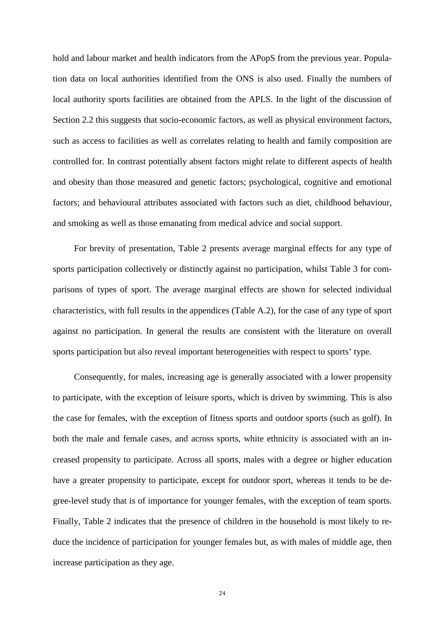hold and labour market and health indicators from the APopS from the previous year. Population data on local authorities identified from the ONS is also used. Finally the numbers of local authority sports facilities are obtained from the APLS. In the light of the discussion of Section 2.2 this suggests that socio-economic factors, as well as physical environment factors, such as access to facilities as well as correlates relating to health and family composition are controlled for. In contrast potentially absent factors might relate to different aspects of health and obesity than those measured and genetic factors; psychological, cognitive and emotional factors; and behavioural attributes associated with factors such as diet, childhood behaviour, and smoking as well as those emanating from medical advice and social support.

For brevity of presentation, Table 2 presents average marginal effects for any type of sports participation collectively or distinctly against no participation, whilst Table 3 for comparisons of types of sport. The average marginal effects are shown for selected individual characteristics, with full results in the appendices (Table A.2), for the case of any type of sport against no participation. In general the results are consistent with the literature on overall sports participation but also reveal important heterogeneities with respect to sports' type.

Consequently, for males, increasing age is generally associated with a lower propensity to participate, with the exception of leisure sports, which is driven by swimming. This is also the case for females, with the exception of fitness sports and outdoor sports (such as golf). In both the male and female cases, and across sports, white ethnicity is associated with an increased propensity to participate. Across all sports, males with a degree or higher education have a greater propensity to participate, except for outdoor sport, whereas it tends to be degree-level study that is of importance for younger females, with the exception of team sports. Finally, Table 2 indicates that the presence of children in the household is most likely to reduce the incidence of participation for younger females but, as with males of middle age, then increase participation as they age.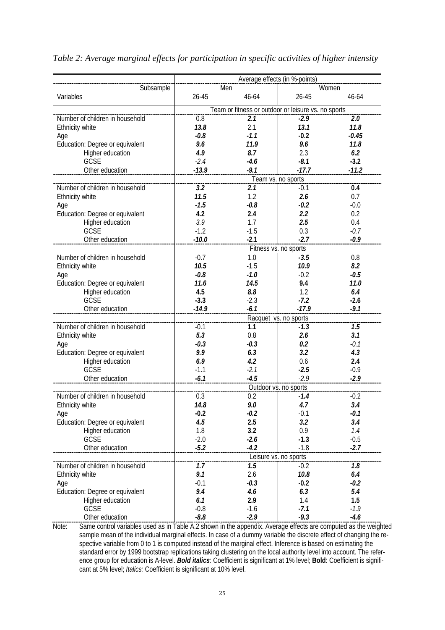|                                 |           | Average effects (in %-points)                       |                       |         |
|---------------------------------|-----------|-----------------------------------------------------|-----------------------|---------|
| Subsample                       |           | Women<br>Men                                        |                       |         |
| Variables                       | $26 - 45$ | 46-64                                               | 26-45                 | 46-64   |
|                                 |           | Team or fitness or outdoor or leisure vs. no sports |                       |         |
| Number of children in household | 0.8       | 2.1                                                 | $-2.9$                | 2.0     |
| <b>Ethnicity white</b>          | 13.8      | 2.1                                                 | 13.1                  | 11.8    |
| Age                             | $-0.8$    | $-1.1$                                              | $-0.2$                | $-0.45$ |
| Education: Degree or equivalent | 9.6       | 11.9                                                | 9.6                   | 11.8    |
| Higher education                | 4.9       | 8.7                                                 | 2.3                   | 6.2     |
| GCSE                            | $-2.4$    | $-4.6$                                              | $-8.1$                | $-3.2$  |
| Other education                 | $-13.9$   | $-9.1$                                              | $-17.7$               | $-11.2$ |
|                                 |           | Team vs. no sports                                  |                       |         |
| Number of children in household | 3.2       | 2.1                                                 | $-0.1$                | 0.4     |
| <b>Ethnicity white</b>          | 11.5      | 1.2                                                 | 2.6                   | 0.7     |
| Age                             | $-1.5$    | $-0.8$                                              | $-0.2$                | $-0.0$  |
| Education: Degree or equivalent | 4.2       | 2.4                                                 | 2.2                   | 0.2     |
| Higher education                | 3.9       | 1.7                                                 | 2.5                   | 0.4     |
| GCSE                            | $-1.2$    | $-1.5$                                              | 0.3                   | $-0.7$  |
| Other education                 | $-10.0$   | $-2.1$                                              | $-2.7$                | $-0.9$  |
|                                 |           | Fitness vs. no sports                               |                       |         |
| Number of children in household | $-0.7$    | 1.0                                                 | $-3.5$                | 0.8     |
| Ethnicity white                 | 10.5      | $-1.5$                                              | 10.9                  | 8.2     |
| Age                             | $-0.8$    | $-1.0$                                              | $-0.2$                | $-0.5$  |
| Education: Degree or equivalent | 11.6      | 14.5                                                | 9.4                   | 11.0    |
| Higher education                | 4.5       | 8.8                                                 | 1.2                   | 6.4     |
| GCSE                            | $-3.3$    | $-2.3$                                              | $-7.2$                | $-2.6$  |
| Other education                 | $-14.9$   | $-6.1$                                              | $-17.9$               | $-9.1$  |
|                                 |           | Racquet vs. no sports                               |                       |         |
| Number of children in household | $-0.1$    | 1.1                                                 | $-1.3$                | 1.5     |
| <b>Ethnicity white</b>          | 5.3       | 0.8                                                 | 2.6                   | 3.1     |
| Age                             | $-0.3$    | $-0.3$                                              | 0.2                   | $-0.1$  |
| Education: Degree or equivalent | 9.9       | 6.3                                                 | 3.2                   | 4.3     |
| Higher education                | 6.9       | 4.2                                                 | 0.6                   | 2.4     |
| GCSE                            | $-1.1$    | $-2.1$                                              | $-2.5$                | $-0.9$  |
| Other education                 | $-6.1$    | $-4.5$                                              | $-2.9$                | $-2.9$  |
|                                 |           |                                                     | Outdoor vs. no sports |         |
| Number of children in household | 0.3       | 0.2                                                 | $-1.4$                | $-0.2$  |
| <b>Ethnicity white</b>          | 14.8      | 9.0                                                 | 4.7                   | 3.4     |
| Age                             | $-0.2$    | $-0.2$                                              | $-0.1$                | $-0.1$  |
| Education: Degree or equivalent | 4.5       | 2.5                                                 | 3.2                   | 3.4     |
| Higher education                | 1.8       | 3.2                                                 | 0.9                   | 1.4     |
| GCSE                            | $-2.0$    | $-2.6$                                              | $-1.3$                | $-0.5$  |
| Other education                 | $-5.2$    | $-4.2$                                              | $-1.8$                | $-2.7$  |
|                                 |           |                                                     | Leisure vs. no sports |         |
| Number of children in household | 1.7       | 1.5                                                 | $-0.2$                | 1.8     |
| Ethnicity white                 | 9.1       | 2.6                                                 | 10.8                  | 6.4     |
| Age                             | $-0.1$    | $-0.3$                                              | $-0.2$                | $-0.2$  |
| Education: Degree or equivalent | 9.4       | 4.6                                                 | 6.3                   | 5.4     |
| Higher education                | 6.1       | 2.9                                                 | 1.4                   | 1.5     |
| GCSE                            | $-0.8$    | $-1.6$                                              | $-7.1$                | $-1.9$  |
| Other education                 | $-8.8$    | $-2.9$                                              | $-9.3$                | $-4.6$  |

#### *Table 2: Average marginal effects for participation in specific activities of higher intensity*

Note: Same control variables used as in Table A.2 shown in the appendix. Average effects are computed as the weighted sample mean of the individual marginal effects. In case of a dummy variable the discrete effect of changing the respective variable from 0 to 1 is computed instead of the marginal effect. Inference is based on estimating the standard error by 1999 bootstrap replications taking clustering on the local authority level into account. The reference group for education is A-level. *Bold italics*: Coefficient is significant at 1% level; **Bold**: Coefficient is significant at 5% level; *Italics:* Coefficient is significant at 10% level.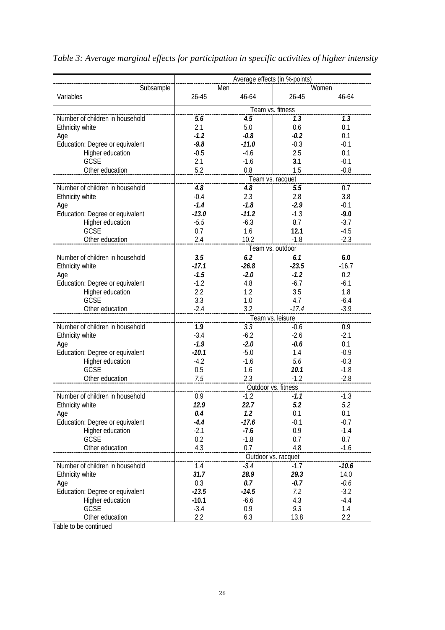|                                 |                     | Average effects (in %-points) |                  |         |  |
|---------------------------------|---------------------|-------------------------------|------------------|---------|--|
| Subsample                       |                     | Men<br>Women                  |                  |         |  |
| Variables                       | $26 - 45$           | 46-64                         | $26 - 45$        | 46-64   |  |
|                                 |                     | Team vs. fitness              |                  |         |  |
| Number of children in household | 5.6                 | 4.5                           | 1.3              | 1.3     |  |
| Ethnicity white                 | 2.1                 | 5.0                           | 0.6              | 0.1     |  |
| Age                             | $-1.2$              | $-0.8$                        | $-0.2$           | 0.1     |  |
| Education: Degree or equivalent | $-9.8$              | $-11.0$                       | $-0.3$           | $-0.1$  |  |
| Higher education                | $-0.5$              | $-4.6$                        | 2.5              | 0.1     |  |
| GCSE                            | 2.1                 | $-1.6$                        | 3.1              | $-0.1$  |  |
| Other education                 | 5.2                 | 0.8                           | 1.5              | $-0.8$  |  |
|                                 |                     |                               | Team vs. racquet |         |  |
| Number of children in household | 4.8                 | 4.8                           | 5.5              | 0.7     |  |
| Ethnicity white                 | $-0.4$              | 2.3                           | 2.8              | 3.8     |  |
|                                 | $-1.4$              | $-1.8$                        | $-2.9$           | $-0.1$  |  |
| Age                             | $-13.0$             | $-11.2$                       |                  | $-9.0$  |  |
| Education: Degree or equivalent | $-5.5$              | $-6.3$                        | $-1.3$<br>8.7    | $-3.7$  |  |
| Higher education                |                     |                               |                  |         |  |
| GCSE                            | 0.7                 | 1.6                           | 12.1             | $-4.5$  |  |
| Other education                 | 2.4                 | 10.2<br>Team vs. outdoor      | $-1.8$           | $-2.3$  |  |
| Number of children in household | 3.5                 | 6.2                           | 6.1              | 6.0     |  |
|                                 |                     | $-26.8$                       | $-23.5$          |         |  |
| Ethnicity white                 | $-17.1$             |                               |                  | $-16.7$ |  |
| Age                             | $-1.5$              | $-2.0$                        | $-1.2$           | 0.2     |  |
| Education: Degree or equivalent | $-1.2$              | 4.8                           | $-6.7$           | $-6.1$  |  |
| Higher education                | 2.2                 | 1.2                           | 3.5              | 1.8     |  |
| GCSE                            | 3.3                 | 1.0                           | 4.7              | $-6.4$  |  |
| Other education                 | $-2.4$              | 3.2                           | $-17.4$          | $-3.9$  |  |
|                                 |                     | Team vs. leisure<br>3.3       |                  |         |  |
| Number of children in household | 1.9                 |                               | $-0.6$           | 0.9     |  |
| <b>Ethnicity white</b>          | $-3.4$              | $-6.2$                        | $-2.6$           | $-2.1$  |  |
| Age                             | $-1.9$              | $-2.0$                        | $-0.6$           | 0.1     |  |
| Education: Degree or equivalent | $-10.1$             | $-5.0$                        | 1.4              | $-0.9$  |  |
| Higher education                | $-4.2$              | $-1.6$                        | 5.6              | $-0.3$  |  |
| GCSE                            | 0.5                 | 1.6                           | 10.1             | $-1.8$  |  |
| Other education                 | 7.5                 | 2.3                           | $-1.2$           | $-2.8$  |  |
|                                 |                     | Outdoor vs. fitness           |                  |         |  |
| Number of children in household | 0.9                 | $-1.2$                        | $-1.1$           | $-1.3$  |  |
| <b>Ethnicity white</b>          | 12.9                | 22.7                          | 5.2              | 5.2     |  |
| Age                             | 0.4                 | 1.2                           | 0.1              | 0.1     |  |
| Education: Degree or equivalent | $-4.4$              | $-17.6$                       | $-0.1$           | $-0.7$  |  |
| Higher education                | $-2.1$              | $-7.6$                        | 0.9              | $-1.4$  |  |
| GCSE                            | 0.2                 | $-1.8$                        | 0.7              | 0.7     |  |
| Other education                 | 4.3                 | 0.7                           | 4.8              | $-1.6$  |  |
|                                 | Outdoor vs. racquet |                               |                  |         |  |
| Number of children in household | 1.4                 | $-3.4$                        | $-1.7$           | $-10.6$ |  |
| Ethnicity white                 | 31.7                | 28.9                          | 29.3             | 14.0    |  |
| Age                             | 0.3                 | 0.7                           | $-0.7$           | $-0.6$  |  |
| Education: Degree or equivalent | $-13.5$             | $-14.5$                       | 7.2              | $-3.2$  |  |
| Higher education                | $-10.1$             | $-6.6$                        | 4.3              | $-4.4$  |  |
| GCSE                            | $-3.4$              | 0.9                           | 9.3              | 1.4     |  |
| Other education                 | 2.2                 | 6.3                           | 13.8             | 2.2     |  |

# *Table 3: Average marginal effects for participation in specific activities of higher intensity*

Table to be continued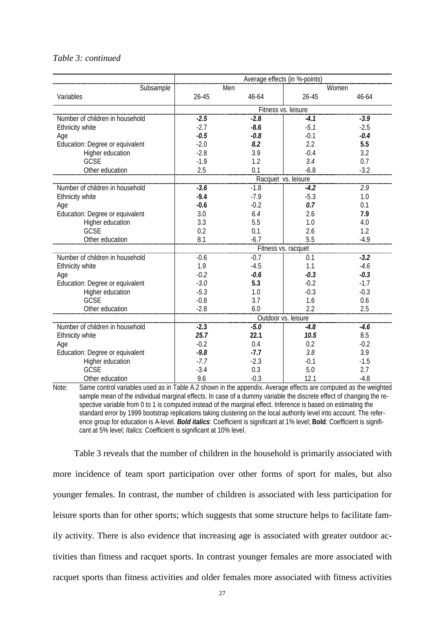|  | Table 3: continued |
|--|--------------------|
|--|--------------------|

|                                 | Average effects (in %-points) |                     |           |        |
|---------------------------------|-------------------------------|---------------------|-----------|--------|
| Subsample                       |                               | Men                 |           | Women  |
| Variables                       | $26 - 45$                     | 46-64               | $26 - 45$ | 46-64  |
|                                 |                               | Fitness vs. leisure |           |        |
| Number of children in household | $-2.5$                        | $-2.8$              | $-4.1$    | $-3.9$ |
| <b>Ethnicity white</b>          | $-2.7$                        | $-8.6$              | $-5.1$    | $-2.5$ |
| Age                             | $-0.5$                        | $-0.8$              | $-0.1$    | $-0.4$ |
| Education: Degree or equivalent | $-2.0$                        | 8.2                 | 2.2       | 5.5    |
| Higher education                | $-2.8$                        | 3.9                 | $-0.4$    | 3.2    |
| GCSE                            | $-1.9$                        | 1.2                 | 3.4       | 0.7    |
| Other education                 | 2.5                           | 0.1                 | $-6.8$    | $-3.2$ |
|                                 |                               | Racquet vs. leisure |           |        |
| Number of children in household | $-3.6$                        | $-1.8$              | $-4.2$    | 2.9    |
| <b>Ethnicity white</b>          | $-9.4$                        | $-7.9$              | $-5.3$    | 1.0    |
| Age                             | $-0.6$                        | $-0.2$              | 0.7       | 0.1    |
| Education: Degree or equivalent | 3.0                           | 6.4                 | 2.6       | 7.9    |
| Higher education                | 3.3                           | 5.5                 | 1.0       | 4.0    |
| <b>GCSE</b>                     | 0.2                           | 0.1                 | 2.6       | 1.2    |
| Other education                 | 8.1                           | $-6.7$              | 5.5       | $-4.9$ |
|                                 | Fitness vs. racquet           |                     |           |        |
| Number of children in household | $-0.6$                        | $-0.7$              | 0.1       | $-3.2$ |
| <b>Ethnicity white</b>          | 1.9                           | $-4.5$              | 1.1       | $-4.6$ |
| Age                             | $-0.2$                        | $-0.6$              | $-0.3$    | $-0.3$ |
| Education: Degree or equivalent | $-3.0$                        | 5.3                 | $-0.2$    | $-1.7$ |
| Higher education                | $-5.3$                        | 1.0                 | $-0.3$    | $-0.3$ |
| GCSE                            | $-0.8$                        | 3.7                 | 1.6       | 0.6    |
| Other education                 | $-2.8$                        | 6.0                 | 2.2       | 2.5    |
|                                 | Outdoor vs. leisure           |                     |           |        |
| Number of children in household | $-2.3$                        | $-5.0$              | $-4.8$    | $-4.6$ |
| Ethnicity white                 | 25.7                          | 22.1                | 10.5      | 8.5    |
| Age                             | $-0.2$                        | 0.4                 | 0.2       | $-0.2$ |
| Education: Degree or equivalent | $-9.8$                        | $-7.7$              | 3.8       | 3.9    |
| Higher education                | $-7.7$                        | $-2.3$              | $-0.1$    | $-1.5$ |
| <b>GCSE</b>                     | $-3.4$                        | 0.3                 | 5.0       | 2.7    |
| Other education                 | 9.6                           | $-0.3$              | 12.1      | $-4.8$ |

Note: Same control variables used as in Table A.2 shown in the appendix. Average effects are computed as the weighted sample mean of the individual marginal effects. In case of a dummy variable the discrete effect of changing the respective variable from 0 to 1 is computed instead of the marginal effect. Inference is based on estimating the standard error by 1999 bootstrap replications taking clustering on the local authority level into account. The reference group for education is A-level. *Bold italics*: Coefficient is significant at 1% level; **Bold**: Coefficient is significant at 5% level; *Italics:* Coefficient is significant at 10% level.

Table 3 reveals that the number of children in the household is primarily associated with more incidence of team sport participation over other forms of sport for males, but also younger females. In contrast, the number of children is associated with less participation for leisure sports than for other sports; which suggests that some structure helps to facilitate family activity. There is also evidence that increasing age is associated with greater outdoor activities than fitness and racquet sports. In contrast younger females are more associated with racquet sports than fitness activities and older females more associated with fitness activities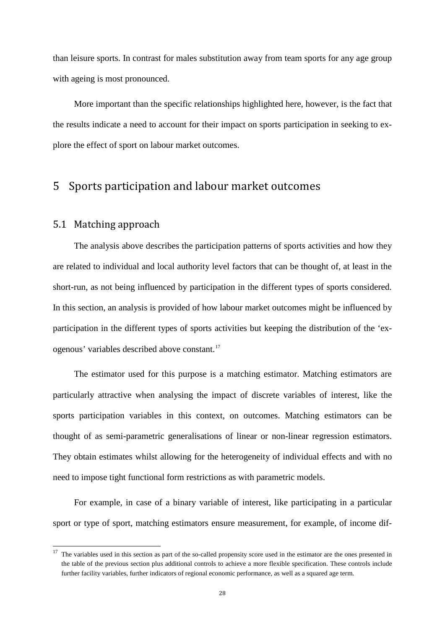than leisure sports. In contrast for males substitution away from team sports for any age group with ageing is most pronounced.

More important than the specific relationships highlighted here, however, is the fact that the results indicate a need to account for their impact on sports participation in seeking to explore the effect of sport on labour market outcomes.

# 5 Sports participation and labour market outcomes

#### 5.1 Matching approach

The analysis above describes the participation patterns of sports activities and how they are related to individual and local authority level factors that can be thought of, at least in the short-run, as not being influenced by participation in the different types of sports considered. In this section, an analysis is provided of how labour market outcomes might be influenced by participation in the different types of sports activities but keeping the distribution of the 'exogenous' variables described above constant.[17](#page-30-0)

The estimator used for this purpose is a matching estimator. Matching estimators are particularly attractive when analysing the impact of discrete variables of interest, like the sports participation variables in this context, on outcomes. Matching estimators can be thought of as semi-parametric generalisations of linear or non-linear regression estimators. They obtain estimates whilst allowing for the heterogeneity of individual effects and with no need to impose tight functional form restrictions as with parametric models.

For example, in case of a binary variable of interest, like participating in a particular sport or type of sport, matching estimators ensure measurement, for example, of income dif-

<span id="page-30-0"></span><sup>&</sup>lt;sup>17</sup> The variables used in this section as part of the so-called propensity score used in the estimator are the ones presented in the table of the previous section plus additional controls to achieve a more flexible specification. These controls include further facility variables, further indicators of regional economic performance, as well as a squared age term.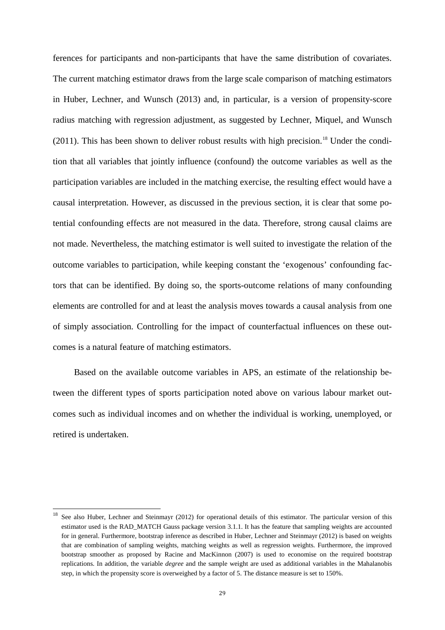ferences for participants and non-participants that have the same distribution of covariates. The current matching estimator draws from the large scale comparison of matching estimators in Huber, Lechner, and Wunsch (2013) and, in particular, is a version of propensity-score radius matching with regression adjustment, as suggested by Lechner, Miquel, and Wunsch (2011). This has been shown to deliver robust results with high precision.<sup>[18](#page-31-0)</sup> Under the condition that all variables that jointly influence (confound) the outcome variables as well as the participation variables are included in the matching exercise, the resulting effect would have a causal interpretation. However, as discussed in the previous section, it is clear that some potential confounding effects are not measured in the data. Therefore, strong causal claims are not made. Nevertheless, the matching estimator is well suited to investigate the relation of the outcome variables to participation, while keeping constant the 'exogenous' confounding factors that can be identified. By doing so, the sports-outcome relations of many confounding elements are controlled for and at least the analysis moves towards a causal analysis from one of simply association. Controlling for the impact of counterfactual influences on these outcomes is a natural feature of matching estimators.

Based on the available outcome variables in APS, an estimate of the relationship between the different types of sports participation noted above on various labour market outcomes such as individual incomes and on whether the individual is working, unemployed, or retired is undertaken.

<span id="page-31-0"></span><sup>&</sup>lt;sup>18</sup> See also Huber, Lechner and Steinmayr (2012) for operational details of this estimator. The particular version of this estimator used is the RAD\_MATCH Gauss package version 3.1.1. It has the feature that sampling weights are accounted for in general. Furthermore, bootstrap inference as described in Huber, Lechner and Steinmayr (2012) is based on weights that are combination of sampling weights, matching weights as well as regression weights. Furthermore, the improved bootstrap smoother as proposed by Racine and MacKinnon (2007) is used to economise on the required bootstrap replications. In addition, the variable *degree* and the sample weight are used as additional variables in the Mahalanobis step, in which the propensity score is overweighed by a factor of 5. The distance measure is set to 150%.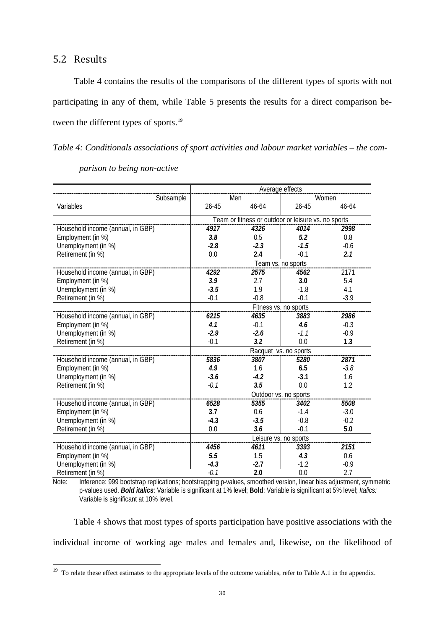### 5.2 Results

Table 4 contains the results of the comparisons of the different types of sports with not participating in any of them, while Table 5 presents the results for a direct comparison be-tween the different types of sports.<sup>[19](#page-32-0)</sup>

*Table 4: Conditionals associations of sport activities and labour market variables – the com-*

|                                   | Average effects       |                                                     |           |        |
|-----------------------------------|-----------------------|-----------------------------------------------------|-----------|--------|
| Subsample                         |                       | Men                                                 | Women     |        |
| Variables                         | $26 - 45$             | 46-64                                               | $26 - 45$ | 46-64  |
|                                   |                       | Team or fitness or outdoor or leisure vs. no sports |           |        |
| Household income (annual, in GBP) | 4917                  | 4326                                                | 4014      | 2998   |
| Employment (in %)                 | 3.8                   | 0.5                                                 | 5.2       | 0.8    |
| Unemployment (in %)               | $-2.8$                | $-2.3$                                              | $-1.5$    | $-0.6$ |
| Retirement (in %)                 | 0.0                   | 2.4                                                 | $-0.1$    | 2.1    |
|                                   |                       | Team vs. no sports                                  |           |        |
| Household income (annual, in GBP) | 4292                  | 2575                                                | 4562      | 2171   |
| Employment (in %)                 | 3.9                   | 2.7                                                 | 3.0       | 5.4    |
| Unemployment (in %)               | $-3.5$                | 1.9                                                 | $-1.8$    | 4.1    |
| Retirement (in %)                 | $-0.1$                | $-0.8$                                              | $-0.1$    | $-3.9$ |
|                                   | Fitness vs. no sports |                                                     |           |        |
| Household income (annual, in GBP) | 6215                  | 4635                                                | 3883      | 2986   |
| Employment (in %)                 | 4.1                   | $-0.1$                                              | 4.6       | $-0.3$ |
| Unemployment (in %)               | $-2.9$                | $-2.6$                                              | $-1.1$    | $-0.9$ |
| Retirement (in %)                 | $-0.1$                | 3.2                                                 | 0.0       | 1.3    |
|                                   | Racquet vs. no sports |                                                     |           |        |
| Household income (annual, in GBP) | 5836                  | 3807                                                | 5280      | 2871   |
| Employment (in %)                 | 4.9                   | 1.6                                                 | 6.5       | $-3.8$ |
| Unemployment (in %)               | $-3.6$                | $-4.2$                                              | $-3.1$    | 1.6    |
| Retirement (in %)                 | $-0.1$                | 3.5                                                 | 0.0       | 1.2    |
|                                   | Outdoor vs. no sports |                                                     |           |        |
| Household income (annual, in GBP) | 6528                  | 5355                                                | 3402      | 5508   |
| Employment (in %)                 | 3.7                   | 0.6                                                 | $-1.4$    | $-3.0$ |
| Unemployment (in %)               | $-4.3$                | $-3.5$                                              | $-0.8$    | $-0.2$ |
| Retirement (in %)                 | 0.0                   | 3.6                                                 | $-0.1$    | 5.0    |
|                                   | Leisure vs. no sports |                                                     |           |        |
| Household income (annual, in GBP) | 4456                  | 4611                                                | 3393      | 2151   |
| Employment (in %)                 | 5.5                   | 1.5                                                 | 4.3       | 0.6    |
| Unemployment (in %)               | $-4.3$                | $-2.7$                                              | $-1.2$    | $-0.9$ |
| Retirement (in %)                 | $-0.1$                | 2.0                                                 | 0.0       | 2.7    |

*parison to being non-active* 

Note: Inference: 999 bootstrap replications; bootstrapping p-values, smoothed version, linear bias adjustment, symmetric p-values used. *Bold italics*: Variable is significant at 1% level; **Bold**: Variable is significant at 5% level; *Italics:* Variable is significant at 10% level.

Table 4 shows that most types of sports participation have positive associations with the individual income of working age males and females and, likewise, on the likelihood of

<span id="page-32-0"></span><sup>&</sup>lt;sup>19</sup> To relate these effect estimates to the appropriate levels of the outcome variables, refer to Table A.1 in the appendix.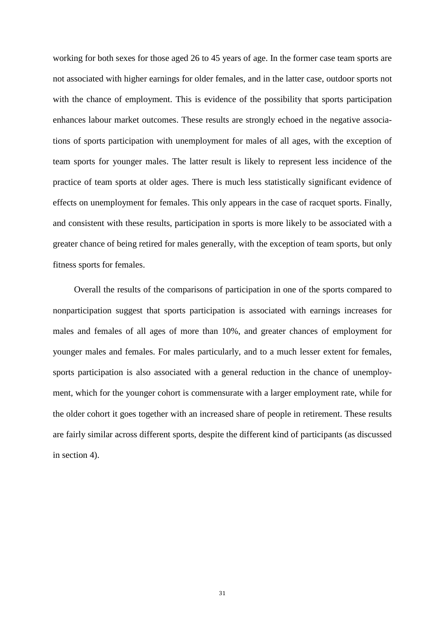working for both sexes for those aged 26 to 45 years of age. In the former case team sports are not associated with higher earnings for older females, and in the latter case, outdoor sports not with the chance of employment. This is evidence of the possibility that sports participation enhances labour market outcomes. These results are strongly echoed in the negative associations of sports participation with unemployment for males of all ages, with the exception of team sports for younger males. The latter result is likely to represent less incidence of the practice of team sports at older ages. There is much less statistically significant evidence of effects on unemployment for females. This only appears in the case of racquet sports. Finally, and consistent with these results, participation in sports is more likely to be associated with a greater chance of being retired for males generally, with the exception of team sports, but only fitness sports for females.

Overall the results of the comparisons of participation in one of the sports compared to nonparticipation suggest that sports participation is associated with earnings increases for males and females of all ages of more than 10%, and greater chances of employment for younger males and females. For males particularly, and to a much lesser extent for females, sports participation is also associated with a general reduction in the chance of unemployment, which for the younger cohort is commensurate with a larger employment rate, while for the older cohort it goes together with an increased share of people in retirement. These results are fairly similar across different sports, despite the different kind of participants (as discussed in section 4).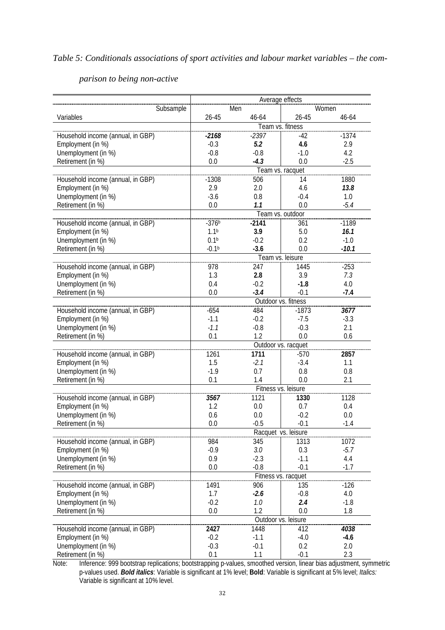#### *Table 5: Conditionals associations of sport activities and labour market variables – the com-*

#### Average effects Subsample Men Women Variables 26-45 46-64 26-45 46-64 Team vs. fitness Household income (annual, in GBP)<br>
Employment (in %)<br>
Function and Table 10 and Table 10 and Table 10 and Table 10 and Table 10 and Table 10 and Table 10 and Table 1<br>  $-0.3$  5.2 4.6 2.9 **Employment (in %)**  $\begin{array}{ccc} \n\cdot & -0.3 \\
\cdot & -0.3\n\end{array}$  5.2  $\begin{array}{ccc} \n\cdot & 4.6 \\
\cdot & -0.3\n\end{array}$ Unemployment (in %)  $-0.8$   $-0.8$   $-1.0$   $-1.0$   $-4.2$ <br>
Retirement (in %)  $-0.8$   $-1.0$   $-1.0$   $-4.2$ Retirement (in %) Team vs. racquet Household income (annual, in GBP) -1308 506 14 1880 Employment (in %) 2.9 2.0 4.6 *13.8* Unemployment (in %)  $-3.6$  0.8  $-0.4$  1.0<br>
Retirement (in %)  $0.0$  1.1 0.0  $-5.4$ Retirement (in %) Team vs. outdoor Household income (annual, in GBP)<br>
Employment (in %)  $1.1^b$   $3.9$   $5.0$   $16.1$ Employment (in %) 1.1b **3.9** 5.0 *16.1* Unemployment (in %) 0.1b -0.2 0.2 -1.0 Retirement (in %) **10.1 -0.1 -0.1 -3.6 0.0 -10.1** Team vs. leisure Household income (annual, in GBP)  $\begin{array}{|c|c|c|c|c|c|}\n\hline\n\text{Household income (annual, in GBP)} & \text{978} & \text{247} & \text{1445} & \text{-253} \\
\hline\n\text{Fmblowment (in %)} & & & 1.3 & \text{2.8} & \text{3.9} & \text{7.3} \\
\hline\n\end{array}$ Employment (in %) <br>
Unemployment (in %) <br>
1.3 2.8 3.9 7.3<br>
1.8 4.0 Unemployment (in %) 0.4 -0.2 **-1.8** 4.0 Retirement (in %) **1.1** *CO* **-3.4 -0.1 -7.4 -1.4** Outdoor vs. fitness Household income (annual, in GBP)  $\frac{654}{484}$  484  $\frac{1873}{3677}$  3677 Employment (in %)  $-1.1$  -0.2  $-7.5$  -3.3 Unemployment (in %) **1.1** -0.8 -0.3 2.1 Retirement (in %)  $\begin{array}{|c|c|c|c|c|c|c|c|c|} \hline \multicolumn{1}{c|}{0.1} & 1.2 & 0.0 & 0.6 \\ \hline \end{array}$ Outdoor vs. racquet Household income (annual, in GBP) 1261 **1711** -570 **2857** Employment (in %) <br>Unemployment (in %) <br>1.9 0.7 0.8 0.8 Unemployment (in %)  $-1.9$  0.7 0.8 Retirement (in %) 1.4 0.0 2.1 Fitness vs. leisure Household income (annual, in GBP) *3567* 1121 **1330** 1128 Employment (in %)  $\begin{array}{ccc} 1.2 & 0.0 & 0.7 & 0.4 \\ 1.2 & 0.0 & 0.7 & 0.4 \\ 1.2 & 0.6 & 0.0 & 0.2 & 0.0 \end{array}$ Unemployment (in %) <br>
Retirement (in %) <br>
O.0 0.0 -0.5 -0.1 -0.1 -1.4 Retirement (in %) Racquet vs. leisure Household income (annual, in GBP)  $\frac{984}{345}$  345 11313 1072 Employment (in %) -0.9 *3.0* 0.3 *-5.7* Unemployment (in %)  $0.9$  -2.3 -1.1 4.4<br>Retirement (in %)  $0.0$  -0.8 -0.1 -1.7 Retirement (in %) Fitness vs. racquet Household income (annual, in GBP) 1491 906 135 -126 Employment (in %) **1.7 -2.6 -0.8 4.0** Unemployment (in %)<br>
Retirement (in %)<br>  $0.0$ <br>  $1.2$ <br>  $1.2$ <br>  $0.0$ <br>  $1.8$ <br>  $1.8$ Retirement (in %) Outdoor vs. leisure Household income (annual, in GBP) **2427** 1448 412 *4038* Employment (in %) -0.2 -1.1 -4.0 **-4.6** Unemployment (in %)  $\qquad \qquad$  -0.3  $\qquad \qquad$  -0.1 0.2 2.0 Retirement (in %) 1.1 1.1 -0.1 2.3

#### *parison to being non-active*

Note: Inference: 999 bootstrap replications; bootstrapping p-values, smoothed version, linear bias adjustment, symmetric p-values used. *Bold italics*: Variable is significant at 1% level; **Bold**: Variable is significant at 5% level; *Italics:* Variable is significant at 10% level.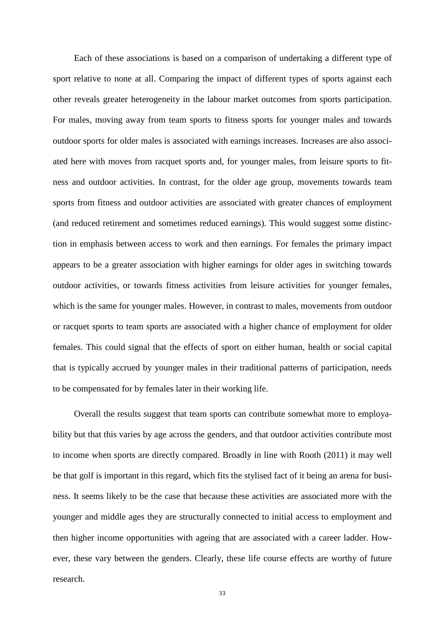Each of these associations is based on a comparison of undertaking a different type of sport relative to none at all. Comparing the impact of different types of sports against each other reveals greater heterogeneity in the labour market outcomes from sports participation. For males, moving away from team sports to fitness sports for younger males and towards outdoor sports for older males is associated with earnings increases. Increases are also associated here with moves from racquet sports and, for younger males, from leisure sports to fitness and outdoor activities. In contrast, for the older age group, movements towards team sports from fitness and outdoor activities are associated with greater chances of employment (and reduced retirement and sometimes reduced earnings). This would suggest some distinction in emphasis between access to work and then earnings. For females the primary impact appears to be a greater association with higher earnings for older ages in switching towards outdoor activities, or towards fitness activities from leisure activities for younger females, which is the same for younger males. However, in contrast to males, movements from outdoor or racquet sports to team sports are associated with a higher chance of employment for older females. This could signal that the effects of sport on either human, health or social capital that is typically accrued by younger males in their traditional patterns of participation, needs to be compensated for by females later in their working life.

Overall the results suggest that team sports can contribute somewhat more to employability but that this varies by age across the genders, and that outdoor activities contribute most to income when sports are directly compared. Broadly in line with Rooth (2011) it may well be that golf is important in this regard, which fits the stylised fact of it being an arena for business. It seems likely to be the case that because these activities are associated more with the younger and middle ages they are structurally connected to initial access to employment and then higher income opportunities with ageing that are associated with a career ladder. However, these vary between the genders. Clearly, these life course effects are worthy of future research.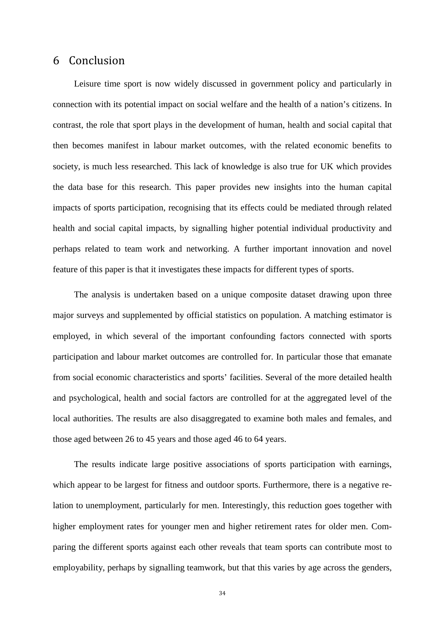# 6 Conclusion

Leisure time sport is now widely discussed in government policy and particularly in connection with its potential impact on social welfare and the health of a nation's citizens. In contrast, the role that sport plays in the development of human, health and social capital that then becomes manifest in labour market outcomes, with the related economic benefits to society, is much less researched. This lack of knowledge is also true for UK which provides the data base for this research. This paper provides new insights into the human capital impacts of sports participation, recognising that its effects could be mediated through related health and social capital impacts, by signalling higher potential individual productivity and perhaps related to team work and networking. A further important innovation and novel feature of this paper is that it investigates these impacts for different types of sports.

The analysis is undertaken based on a unique composite dataset drawing upon three major surveys and supplemented by official statistics on population. A matching estimator is employed, in which several of the important confounding factors connected with sports participation and labour market outcomes are controlled for. In particular those that emanate from social economic characteristics and sports' facilities. Several of the more detailed health and psychological, health and social factors are controlled for at the aggregated level of the local authorities. The results are also disaggregated to examine both males and females, and those aged between 26 to 45 years and those aged 46 to 64 years.

The results indicate large positive associations of sports participation with earnings, which appear to be largest for fitness and outdoor sports. Furthermore, there is a negative relation to unemployment, particularly for men. Interestingly, this reduction goes together with higher employment rates for younger men and higher retirement rates for older men. Comparing the different sports against each other reveals that team sports can contribute most to employability, perhaps by signalling teamwork, but that this varies by age across the genders,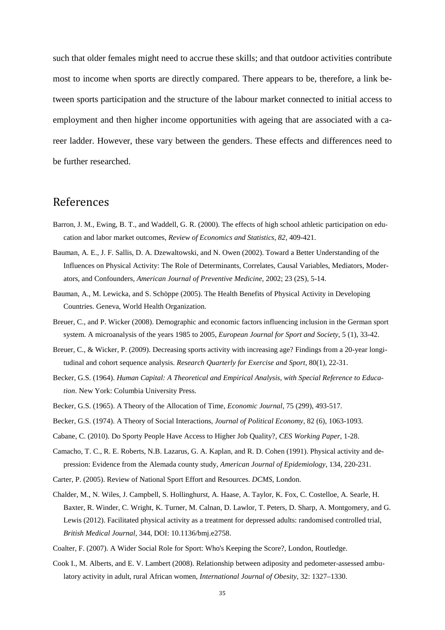such that older females might need to accrue these skills; and that outdoor activities contribute most to income when sports are directly compared. There appears to be, therefore, a link between sports participation and the structure of the labour market connected to initial access to employment and then higher income opportunities with ageing that are associated with a career ladder. However, these vary between the genders. These effects and differences need to be further researched.

### References

- Barron, J. M., Ewing, B. T., and Waddell, G. R. (2000). The effects of high school athletic participation on education and labor market outcomes, *Review of Economics and Statistics*, *82*, 409-421.
- Bauman, A. E., J. F. Sallis, D. A. Dzewaltowski, and N. Owen (2002). Toward a Better Understanding of the Influences on Physical Activity: The Role of Determinants, Correlates, Causal Variables, Mediators, Moderators, and Confounders, *American Journal of Preventive Medicine,* 2002; 23 (2S), 5-14.
- Bauman, A., M. Lewicka, and S. Schöppe (2005). The Health Benefits of Physical Activity in Developing Countries. Geneva, World Health Organization.
- Breuer, C., and P. Wicker (2008). Demographic and economic factors influencing inclusion in the German sport system. A microanalysis of the years 1985 to 2005, *European Journal for Sport and Society*, 5 (1), 33-42.
- Breuer, C., & Wicker, P. (2009). Decreasing sports activity with increasing age? Findings from a 20-year longitudinal and cohort sequence analysis. *Research Quarterly for Exercise and Sport*, 80(1), 22-31.
- Becker, G.S. (1964). *Human Capital: A Theoretical and Empirical Analysis, with Special Reference to Education*. New York: Columbia University Press.
- Becker, G.S. (1965). A Theory of the Allocation of Time, *Economic Journal*, 75 (299), 493-517.
- Becker, G.S. (1974). A Theory of Social Interactions, *Journal of Political Economy*, 82 (6), 1063-1093.
- Cabane, C. (2010). Do Sporty People Have Access to Higher Job Quality?, *CES Working Paper*, 1-28.
- Camacho, T. C., R. E. Roberts, N.B. Lazarus, G. A. Kaplan, and R. D. Cohen (1991). Physical activity and depression: Evidence from the Alemada county study, *American Journal of Epidemiology*, 134, 220-231.
- Carter, P. (2005). Review of National Sport Effort and Resources. *DCMS*, London.
- Chalder, M., N. Wiles, J. Campbell, S. Hollinghurst, A. Haase, A. Taylor, K. Fox, C. Costelloe, A. Searle, H. Baxter, R. Winder, C. Wright, K. Turner, M. Calnan, D. Lawlor, T. Peters, D. Sharp, A. Montgomery, and G. Lewis (2012). Facilitated physical activity as a treatment for depressed adults: randomised controlled trial, *British Medical Journal*, 344, DOI: 10.1136/bmj.e2758.
- Coalter, F. (2007). A Wider Social Role for Sport: Who's Keeping the Score?, London, Routledge.
- Cook I., M. Alberts, and E. V. Lambert (2008). Relationship between adiposity and pedometer-assessed ambulatory activity in adult, rural African women, *International Journal of Obesity*, 32: 1327–1330.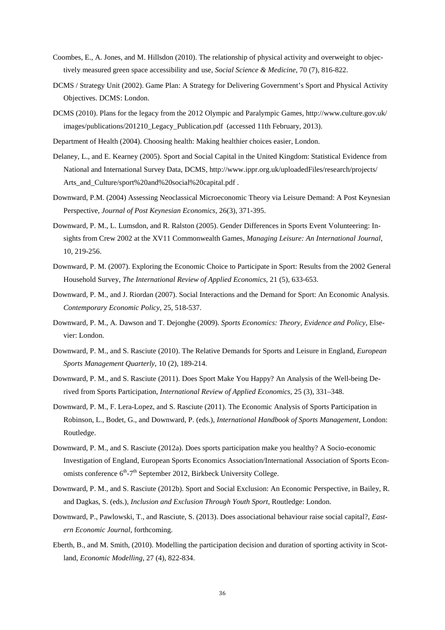- Coombes, E., A. Jones, and M. Hillsdon (2010). The relationship of physical activity and overweight to objectively measured green space accessibility and use, *Social Science & Medicine*, 70 (7), 816-822.
- DCMS / Strategy Unit (2002). Game Plan: A Strategy for Delivering Government's Sport and Physical Activity Objectives. DCMS: London.
- DCMS (2010). Plans for the legacy from the 2012 Olympic and Paralympic Games, http://www.culture.gov.uk/ images/publications/201210\_Legacy\_Publication.pdf (accessed 11th February, 2013).
- Department of Health (2004). Choosing health: Making healthier choices easier, London.
- Delaney, L., and E. Kearney (2005). Sport and Social Capital in the United Kingdom: Statistical Evidence from National and International Survey Data, DCMS, http://www.ippr.org.uk/uploadedFiles/research/projects/ Arts\_and\_Culture/sport%20and%20social%20capital.pdf .
- Downward, P.M. (2004) Assessing Neoclassical Microeconomic Theory via Leisure Demand: A Post Keynesian Perspective, *Journal of Post Keynesian Economics*, 26(3), 371-395.
- Downward, P. M., L. Lumsdon, and R. Ralston (2005). Gender Differences in Sports Event Volunteering: Insights from Crew 2002 at the XV11 Commonwealth Games, *Managing Leisure: An International Journal*, 10, 219-256.
- Downward, P. M. (2007). Exploring the Economic Choice to Participate in Sport: Results from the 2002 General Household Survey, *The International Review of Applied Economics*, 21 (5), 633-653.
- Downward, P. M., and J. Riordan (2007). Social Interactions and the Demand for Sport: An Economic Analysis. *Contemporary Economic Policy*, 25, 518-537.
- Downward, P. M., A. Dawson and T. Dejonghe (2009). *Sports Economics: Theory, Evidence and Policy*, Elsevier: London.
- Downward, P. M., and S. Rasciute (2010). The Relative Demands for Sports and Leisure in England, *European Sports Management Quarterly*, 10 (2), 189-214.
- Downward, P. M., and S. Rasciute (2011). Does Sport Make You Happy? An Analysis of the Well-being Derived from Sports Participation, *International Review of Applied Economics*, 25 (3), 331–348.
- Downward, P. M., F. Lera-Lopez, and S. Rasciute (2011). The Economic Analysis of Sports Participation in Robinson, L., Bodet, G., and Downward, P. (eds.), *International Handbook of Sports Management*, London: Routledge.
- Downward, P. M., and S. Rasciute (2012a). Does sports participation make you healthy? A Socio-economic Investigation of England, European Sports Economics Association/International Association of Sports Economists conference  $6<sup>th</sup> - 7<sup>th</sup>$  September 2012, Birkbeck University College.
- Downward, P. M., and S. Rasciute (2012b). Sport and Social Exclusion: An Economic Perspective, in Bailey, R. and Dagkas, S. (eds.), *Inclusion and Exclusion Through Youth Sport*, Routledge: London.
- Downward, P., Pawlowski, T., and Rasciute, S. (2013). Does associational behaviour raise social capital?, *Eastern Economic Journal*, forthcoming.
- Eberth, B., and M. Smith, (2010). Modelling the participation decision and duration of sporting activity in Scotland, *Economic Modelling*, 27 (4), 822-834.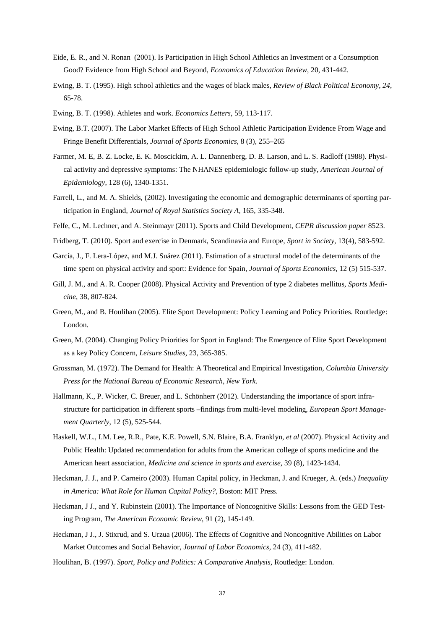- Eide, E. R., and N. Ronan (2001). Is Participation in High School Athletics an Investment or a Consumption Good? Evidence from High School and Beyond, *Economics of Education Review*, 20, 431-442.
- Ewing, B. T. (1995). High school athletics and the wages of black males, *Review of Black Political Economy*, *24*, 65-78.
- Ewing, B. T. (1998). Athletes and work. *Economics Letters*, 59, 113-117.
- Ewing, B.T. (2007). The Labor Market Effects of High School Athletic Participation Evidence From Wage and Fringe Benefit Differentials, *Journal of Sports Economics,* 8 (3), 255–265
- Farmer, M. E, B. Z. Locke, E. K. Moscickim, A. L. Dannenberg, D. B. Larson, and L. S. Radloff (1988). Physical activity and depressive symptoms: The NHANES epidemiologic follow-up study, *American Journal of Epidemiology*, 128 (6), 1340-1351.
- Farrell, L., and M. A. Shields, (2002). Investigating the economic and demographic determinants of sporting participation in England, *Journal of Royal Statistics Society A*, 165, 335-348.
- Felfe, C., M. Lechner, and A. Steinmayr (2011). Sports and Child Development, *CEPR discussion paper* 8523.
- Fridberg, T. (2010). Sport and exercise in Denmark, Scandinavia and Europe, *Sport in Society*, 13(4), 583-592.
- García, J., F. Lera-López, and M.J. Suárez (2011). Estimation of a structural model of the determinants of the time spent on physical activity and sport: Evidence for Spain, *Journal of Sports Economics,* 12 (5) 515-537.
- Gill, J. M., and A. R. Cooper (2008). Physical Activity and Prevention of type 2 diabetes mellitus, *Sports Medicine*, 38, 807-824.
- Green, M., and B. Houlihan (2005). Elite Sport Development: Policy Learning and Policy Priorities. Routledge: London.
- Green, M. (2004). Changing Policy Priorities for Sport in England: The Emergence of Elite Sport Development as a key Policy Concern, *Leisure Studies*, 23, 365-385.
- Grossman, M. (1972). The Demand for Health: A Theoretical and Empirical Investigation, *Columbia University Press for the National Bureau of Economic Research, New York*.
- Hallmann, K., P. Wicker, C. Breuer, and L. Schönherr (2012). Understanding the importance of sport infrastructure for participation in different sports –findings from multi-level modeling, *European Sport Management Quarterly*, 12 (5), 525-544.
- Haskell, W.L., I.M. Lee, R.R., Pate, K.E. Powell, S.N. Blaire, B.A. Franklyn, *et al* (2007). Physical Activity and Public Health: Updated recommendation for adults from the American college of sports medicine and the American heart association, *Medicine and science in sports and exercise*, 39 (8), 1423-1434.
- Heckman, J. J., and P. Carneiro (2003). Human Capital policy, in Heckman, J. and Krueger, A. (eds.) *Inequality in America: What Role for Human Capital Policy?,* Boston: MIT Press.
- Heckman, J J., and Y. Rubinstein (2001). The Importance of Noncognitive Skills: Lessons from the GED Testing Program, *The American Economic Review*, 91 (2), 145-149.
- Heckman, J J., J. Stixrud, and S. Urzua (2006). The Effects of Cognitive and Noncognitive Abilities on Labor Market Outcomes and Social Behavior, *Journal of Labor Economics*, 24 (3), 411-482.
- Houlihan, B. (1997). *Sport, Policy and Politics: A Comparative Analysis,* Routledge: London.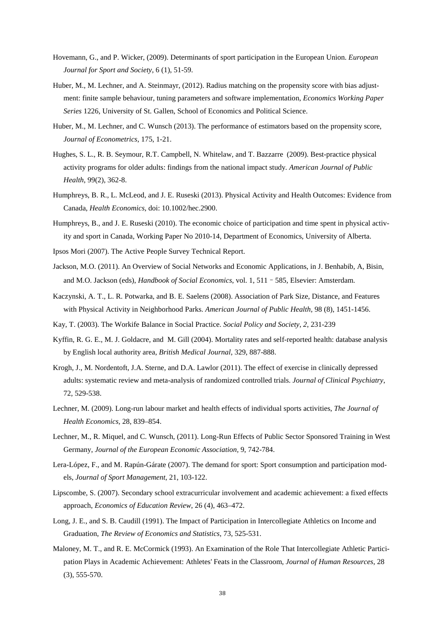- Hovemann, G., and P. Wicker, (2009). Determinants of sport participation in the European Union. *European Journal for Sport and Society*, 6 (1), 51-59.
- Huber, M., M. Lechner, and A. Steinmayr, (2012). [Radius matching on the propensity score with bias adjust](http://ideas.repec.org/p/usg/econwp/201226.html)[ment: finite sample behaviour, tuning parameters and software implementation,](http://ideas.repec.org/p/usg/econwp/201226.html) *[Economics Working Paper](http://ideas.repec.org/s/usg/econwp.html)  [Series](http://ideas.repec.org/s/usg/econwp.html)* 1226, University of St. Gallen, School of Economics and Political Science.
- Huber, M., M. Lechner, and C. Wunsch (2013). The performance of estimators based on the propensity score, *Journal of Econometrics*, 175, 1-21.
- Hughes, S. L., R. B. Seymour, R.T. Campbell, N. Whitelaw, and T. Bazzarre (2009). Best-practice physical activity programs for older adults: findings from the national impact study*. American Journal of Public Health*, 99(2), 362-8.
- Humphreys, B. R., L. McLeod, and J. E. Ruseski (2013). Physical Activity and Health Outcomes: Evidence from Canada, *Health Economics*, doi: 10.1002/hec.2900.
- Humphreys, B., and J. E. Ruseski (2010). The economic choice of participation and time spent in physical activity and sport in Canada, Working Paper No 2010-14, Department of Economics, University of Alberta.
- Ipsos Mori (2007). The Active People Survey Technical Report.
- Jackson, M.O. (2011). An Overview of Social Networks and Economic Applications, in J. Benhabib, A, Bisin, and M.O. Jackson (eds), *Handbook of Social Economics*, vol. 1, 511–585, Elsevier: Amsterdam.
- Kaczynski, A. T., L. R. Potwarka, and B. E. Saelens (2008). Association of Park Size, Distance, and Features with Physical Activity in Neighborhood Parks. *American Journal of Public Health,* 98 (8), 1451-1456.
- Kay, T. (2003). The Workife Balance in Social Practice. *Social Policy and Society*, *2*, 231-239
- Kyffin, R. G. E., M. J. Goldacre, and M. Gill (2004). Mortality rates and self-reported health: database analysis by English local authority area, *British Medical Journal*, 329, 887-888.
- Krogh, J., M. Nordentoft, J.A. Sterne, and D.A. Lawlor (2011). The effect of exercise in clinically depressed adults: systematic review and meta-analysis of randomized controlled trials. *Journal of Clinical Psychiatry*, 72, 529-538.
- Lechner, M. (2009). Long-run labour market and health effects of individual sports activities, *The Journal of Health Economics,* 28, 839–854.
- Lechner, M., R. Miquel, and C. Wunsch, (2011). Long-Run Effects of Public Sector Sponsored Training in West Germany, *Journal of the European Economic Association,* 9, 742-784.
- Lera-López, F., and M. Rapún-Gárate (2007). The demand for sport: Sport consumption and participation models, *Journal of Sport Management*, 21, 103-122.
- Lipscombe, S. (2007). Secondary school extracurricular involvement and academic achievement: a fixed effects approach, *[Economics of Education Review](http://www.sciencedirect.com/science/journal/02727757)*, [26 \(4\)](http://www.sciencedirect.com/science/journal/02727757/26/4), 463–472.
- Long, J. E., and S. B. Caudill (1991). The Impact of Participation in Intercollegiate Athletics on Income and Graduation, *The Review of Economics and Statistics*, 73, 525-531.
- Maloney, M. T., and R. E. McCormick (1993). An Examination of the Role That Intercollegiate Athletic Participation Plays in Academic Achievement: Athletes' Feats in the Classroom, *[Journal of Human Resources](http://ideas.repec.org/s/uwp/jhriss.html)*, 28 (3), 555-570.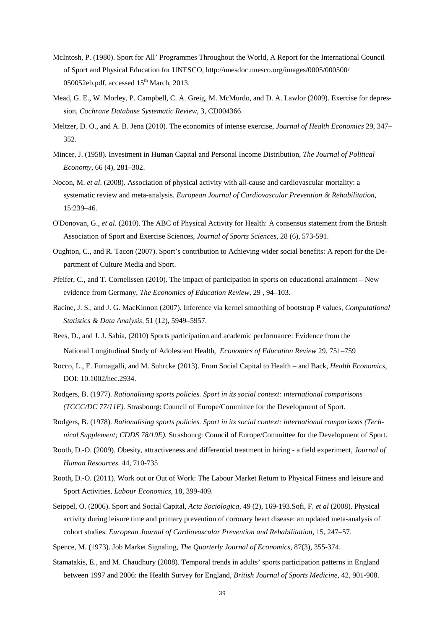- McIntosh, P. (1980). Sport for All' Programmes Throughout the World, A Report for the International Council of Sport and Physical Education for UNESCO, http://unesdoc.unesco.org/images/0005/000500/ 050052eb.pdf, accessed  $15<sup>th</sup>$  March, 2013.
- Mead, G. E., W. Morley, P. Campbell, C. A. Greig, M. McMurdo, and D. A. Lawlor (2009). Exercise for depression, *Cochrane Database Systematic Review*, 3, CD004366.
- Meltzer, D. O., and A. B. Jena (2010). The economics of intense exercise, *Journal of Health Economics* 29, 347– 352.
- Mincer, J. (1958). Investment in Human Capital and Personal Income Distribution, *The Journal of Political Economy,* 66 (4), 281–302.
- Nocon, M. *et al*. (2008). Association of physical activity with all-cause and cardiovascular mortality: a systematic review and meta-analysis. *European Journal of Cardiovascular Prevention & Rehabilitation*, 15:239–46.
- O'Donovan, G., *et al.* (2010). The ABC of Physical Activity for Health: A consensus statement from the British Association of Sport and Exercise Sciences, *Journal of Sports Sciences*, 28 (6), 573-591.
- Oughton, C., and R. Tacon (2007). Sport's contribution to Achieving wider social benefits: A report for the Department of Culture Media and Sport.
- Pfeifer, C., and T. Cornelissen (2010). The impact of participation in sports on educational attainment New evidence from Germany, *The Economics of Education Review,* 29 , 94–103.
- Racine, J. S., and J. G. MacKinnon (2007). Inference via kernel smoothing of bootstrap P values, *Computational Statistics & Data Analysis*, 51 (12), 5949–5957.
- Rees, D., and J. J. Sabia, (2010) Sports participation and academic performance: Evidence from the National Longitudinal Study of Adolescent Health, *Economics of Education Review* 29, 751–759
- Rocco, L., E. Fumagalli, and M. Suhrcke (2013). From Social Capital to Health and Back, *Health Economics*, DOI: 10.1002/hec.2934.
- Rodgers, B. (1977). *Rationalising sports policies. Sport in its social context: international comparisons (TCCC/DC 77/11E).* Strasbourg: Council of Europe/Committee for the Development of Sport.
- Rodgers, B. (1978). *Rationalising sports policies. Sport in its social context: international comparisons (Technical Supplement; CDDS 78/19E).* Strasbourg: Council of Europe/Committee for the Development of Sport.
- Rooth, D.-O. (2009). Obesity, attractiveness and differential treatment in hiring a field experiment, *Journal of Human Resources*. 44, 710-735
- Rooth, D.-O. (2011). Work out or Out of Work: The Labour Market Return to Physical Fitness and leisure and Sport Activities, *Labour Economics,* 18, 399-409.
- Seippel, O. (2006). Sport and Social Capital, *Acta Sociologica,* 49 (2), 169-193.Sofi, F. *et al* (2008). Physical activity during leisure time and primary prevention of coronary heart disease: an updated meta-analysis of cohort studies. *European Journal of Cardiovascular Prevention and Rehabilitation*, 15, 247–57.
- Spence, M. (1973). Job Market Signaling, *The Quarterly Journal of Economics*, 87(3), 355-374.
- Stamatakis, E., and M. Chaudhury (2008). Temporal trends in adults' sports participation patterns in England between 1997 and 2006: the Health Survey for England, *British Journal of Sports Medicine*, 42, 901-908.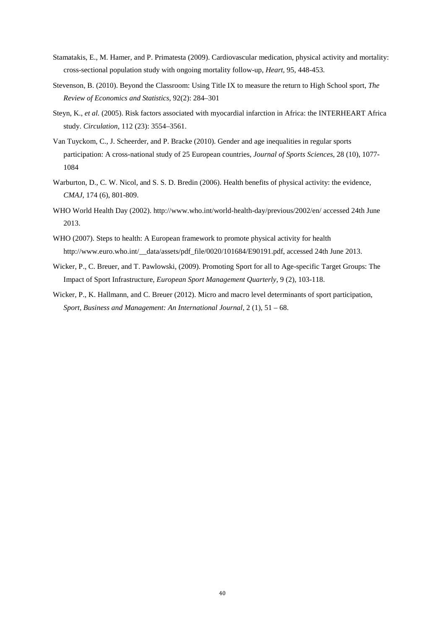- Stamatakis, E., M. Hamer, and P. Primatesta (2009). Cardiovascular medication, physical activity and mortality: cross-sectional population study with ongoing mortality follow-up, *Heart*, 95, 448-453.
- Stevenson, B. (2010). Beyond the Classroom: Using Title IX to measure the return to High School sport, *The Review of Economics and Statistics,* 92(2): 284–301
- Steyn, K., *et al.* (2005). Risk factors associated with myocardial infarction in Africa: the INTERHEART Africa study. *Circulation*, 112 (23): 3554–3561.
- Van Tuyckom, C., J. Scheerder, and P. Bracke (2010). Gender and age inequalities in regular sports participation: A cross-national study of 25 European countries, *Journal of Sports Sciences*, 28 (10), 1077- 1084
- Warburton, D., C. W. Nicol, and S. S. D. Bredin (2006). Health benefits of physical activity: the evidence, *CMAJ*, 174 (6), 801-809.
- WHO World Health Day (2002). http://www.who.int/world-health-day/previous/2002/en/ accessed 24th June 2013.
- WHO (2007). Steps to health: A European framework to promote physical activity for health http://www.euro.who.int/\_\_data/assets/pdf\_file/0020/101684/E90191.pdf, accessed 24th June 2013.
- Wicker, P., C. Breuer, and T. Pawlowski, (2009). Promoting Sport for all to Age-specific Target Groups: The Impact of Sport Infrastructure, *European Sport Management Quarterly*, 9 (2), 103-118.
- Wicker, P., K. Hallmann, and C. Breuer (2012). Micro and macro level determinants of sport participation, *Sport, Business and Management: An International Journal,* 2 (1), 51 – 68.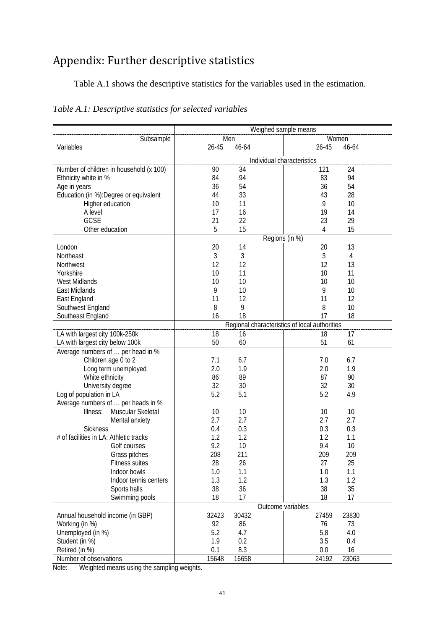# Appendix: Further descriptive statistics

Table A.1 shows the descriptive statistics for the variables used in the estimation.

|                                         | Weighed sample means                          |                            |  |  |  |
|-----------------------------------------|-----------------------------------------------|----------------------------|--|--|--|
| Subsample                               | Men                                           | Women                      |  |  |  |
| Variables                               | $26 - 45$<br>46-64                            | $26 - 45$<br>46-64         |  |  |  |
|                                         |                                               |                            |  |  |  |
|                                         |                                               | Individual characteristics |  |  |  |
| Number of children in household (x 100) | 34<br>90                                      | 121<br>24                  |  |  |  |
| Ethnicity white in %                    | 84<br>94                                      | 83<br>94                   |  |  |  |
| Age in years                            | 36<br>54                                      | 36<br>54                   |  |  |  |
| Education (in %): Degree or equivalent  | 33<br>44                                      | 43<br>28                   |  |  |  |
| Higher education                        | 10<br>11                                      | 9<br>10                    |  |  |  |
| A level                                 | 17<br>16                                      | 19<br>14                   |  |  |  |
| <b>GCSE</b>                             | 22<br>21                                      | 23<br>29                   |  |  |  |
| Other education                         | 15<br>5                                       | 15<br>4                    |  |  |  |
|                                         |                                               | Regions (in %)             |  |  |  |
| London                                  | 14<br>20                                      | 13<br>20                   |  |  |  |
| Northeast                               | 3<br>3                                        | 3<br>$\overline{4}$        |  |  |  |
| <b>Northwest</b>                        | 12<br>12                                      | 12<br>13                   |  |  |  |
| Yorkshire                               | 10<br>11                                      | 10<br>11                   |  |  |  |
| <b>West Midlands</b>                    | 10<br>10                                      | 10<br>10                   |  |  |  |
| East Midlands                           | 9<br>10                                       | 9<br>10                    |  |  |  |
| East England                            | 12<br>11                                      | 11<br>12                   |  |  |  |
| Southwest England                       | 9<br>8                                        | 8<br>10                    |  |  |  |
| Southeast England                       | 18<br>16                                      | 17<br>18                   |  |  |  |
|                                         | Regional characteristics of local authorities |                            |  |  |  |
| LA with largest city 100k-250k          | 18<br>16                                      | 17<br>18                   |  |  |  |
| LA with largest city below 100k         | 50<br>60                                      | 51<br>61                   |  |  |  |
| Average numbers of  per head in %       |                                               |                            |  |  |  |
| Children age 0 to 2                     | 7.1<br>6.7                                    | 7.0<br>6.7                 |  |  |  |
| Long term unemployed                    | 2.0<br>1.9                                    | 2.0<br>1.9                 |  |  |  |
| White ethnicity                         | 89<br>86                                      | 87<br>90                   |  |  |  |
| University degree                       | 32<br>30                                      | 32<br>30                   |  |  |  |
| Log of population in LA                 | 5.2<br>5.1                                    | 5.2<br>4.9                 |  |  |  |
|                                         |                                               |                            |  |  |  |
| Average numbers of  per heads in %      |                                               |                            |  |  |  |
| Muscular Skeletal<br>Illness:           | 10<br>10                                      | 10<br>10                   |  |  |  |
| Mental anxiety                          | 2.7<br>2.7                                    | 2.7<br>2.7                 |  |  |  |
| <b>Sickness</b>                         | 0.4<br>0.3                                    | 0.3<br>0.3                 |  |  |  |
| # of facilities in LA: Athletic tracks  | 1.2<br>1.2                                    | 1.2<br>1.1                 |  |  |  |
| Golf courses                            | 9.2<br>10                                     | 9.4<br>10                  |  |  |  |
| Grass pitches                           | 208<br>211                                    | 209<br>209                 |  |  |  |
| <b>Fitness suites</b>                   | 28<br>26                                      | 27<br>25                   |  |  |  |
| Indoor bowls                            | 1.0<br>1.1                                    | 1.0<br>1.1                 |  |  |  |
| Indoor tennis centers                   | 1.3<br>1.2                                    | 1.3<br>1.2                 |  |  |  |
| Sports halls                            | 38<br>36                                      | 38<br>35                   |  |  |  |
| Swimming pools                          | 18<br>17                                      | 18<br>17                   |  |  |  |
|                                         |                                               | Outcome variables          |  |  |  |
| Annual household income (in GBP)        | 32423<br>30432                                | 27459<br>23830             |  |  |  |
| Working (in %)                          | 92<br>86                                      | 76<br>73                   |  |  |  |
| Unemployed (in %)                       | 5.2<br>4.7                                    | 5.8<br>4.0                 |  |  |  |
| Student (in %)                          | 1.9<br>0.2                                    | 3.5<br>0.4                 |  |  |  |
| Retired (in %)                          | 8.3<br>0.1                                    | 0.0<br>16                  |  |  |  |
| Number of observations                  | 15648<br>16658                                | 24192<br>23063             |  |  |  |

## *Table A.1: Descriptive statistics for selected variables*

Note: Weighted means using the sampling weights.